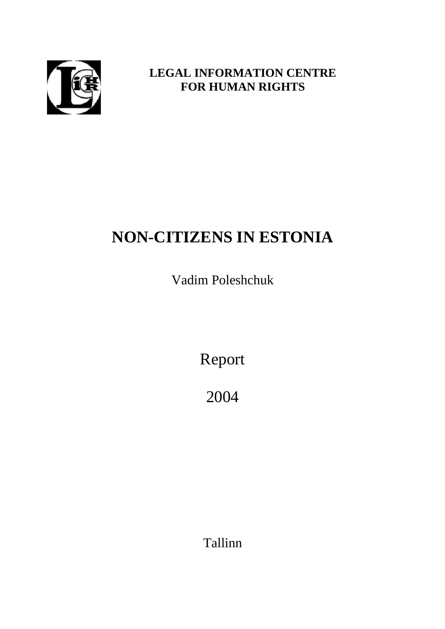

## **LEGAL INFORMATION CENTRE FOR HUMAN RIGHTS**

# **NON-CITIZENS IN ESTONIA**

Vadim Poleshchuk

Report

2004

Tallinn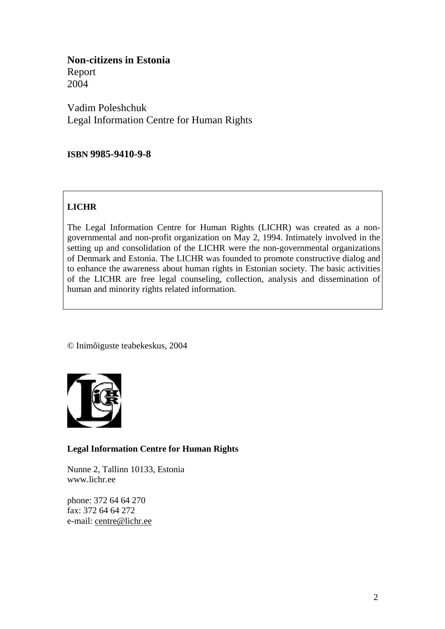**Non-citizens in Estonia**  Report 2004

Vadim Poleshchuk Legal Information Centre for Human Rights

## **ISBN 9985-9410-9-8**

## **LICHR**

The Legal Information Centre for Human Rights (LICHR) was created as a nongovernmental and non-profit organization on May 2, 1994. Intimately involved in the setting up and consolidation of the LICHR were the non-governmental organizations of Denmark and Estonia. The LICHR was founded to promote constructive dialog and to enhance the awareness about human rights in Estonian society. The basic activities of the LICHR are free legal counseling, collection, analysis and dissemination of human and minority rights related information.

© Inimõiguste teabekeskus, 2004



## **Legal Information Centre for Human Rights**

Nunne 2, Tallinn 10133, Estonia [www.lichr.ee](http://www.lichr.ee/)

phone: 372 64 64 270 fax: 372 64 64 272 e-mail: [centre@lichr.ee](mailto:centre@lichr.ee)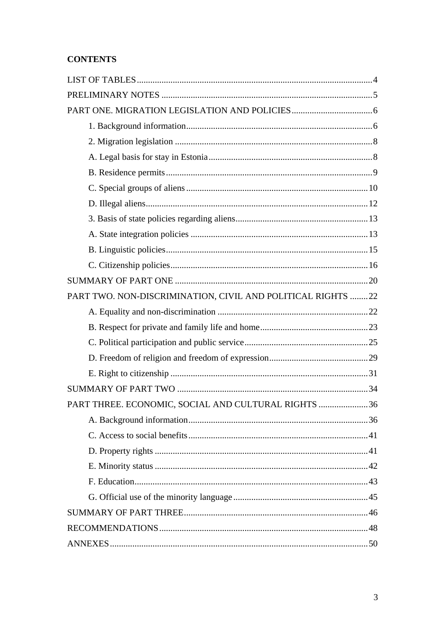## **CONTENTS**

| PART TWO. NON-DISCRIMINATION, CIVIL AND POLITICAL RIGHTS 22 |  |
|-------------------------------------------------------------|--|
|                                                             |  |
|                                                             |  |
|                                                             |  |
|                                                             |  |
|                                                             |  |
|                                                             |  |
| PART THREE. ECONOMIC, SOCIAL AND CULTURAL RIGHTS 36         |  |
|                                                             |  |
|                                                             |  |
|                                                             |  |
|                                                             |  |
|                                                             |  |
|                                                             |  |
|                                                             |  |
|                                                             |  |
|                                                             |  |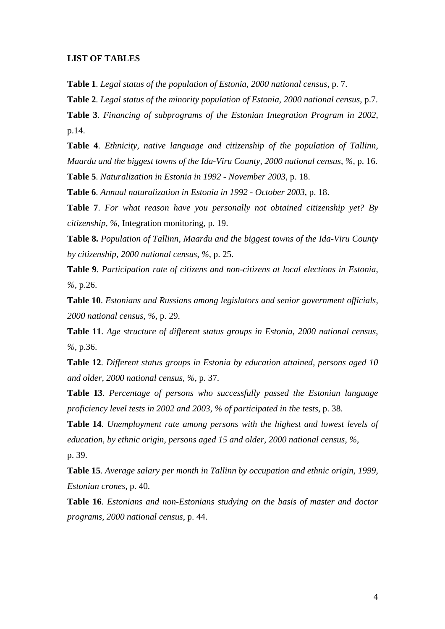#### <span id="page-3-0"></span>**LIST OF TABLES**

**Table 1**. *Legal status of the population of Estonia, 2000 national census*, p. 7.

**Table 2**. *Legal status of the minority population of Estonia, 2000 national census*, p.7.

**Table 3**. *Financing of subprograms of the Estonian Integration Program in 2002*, p.14.

**Table 4**. *Ethnicity, native language and citizenship of the population of Tallinn, Maardu and the biggest towns of the Ida-Viru County, 2000 national census*, *%,* p. 16.

**Table 5**. *Naturalization in Estonia in 1992 - November 2003*, p. 18.

**Table 6**. *Annual naturalization in Estonia in 1992 - October 2003*, p. 18.

**Table 7**. *For what reason have you personally not obtained citizenship yet? By citizenship, %*, Integration monitoring, p. 19.

**Table 8.** *Population of Tallinn, Maardu and the biggest towns of the Ida-Viru County by citizenship, 2000 national census*, *%*, p. 25.

**Table 9**. *Participation rate of citizens and non-citizens at local elections in Estonia*, *%,* p.26.

**Table 10**. *Estonians and Russians among legislators and senior government officials, 2000 national census, %,* p. 29.

**Table 11**. *Age structure of different status groups in Estonia, 2000 national census*, *%,* p.36.

**Table 12**. *Different status groups in Estonia by education attained, persons aged 10 and older, 2000 national census*, *%,* p. 37.

**Table 13**. *Percentage of persons who successfully passed the Estonian language proficiency level tests in 2002 and 2003, % of participated in the tests*, p. 38.

**Table 14**. *Unemployment rate among persons with the highest and lowest levels of education, by ethnic origin, persons aged 15 and older, 2000 national census*, *%,*  p. 39.

**Table 15**. *Average salary per month in Tallinn by occupation and ethnic origin, 1999, Estonian crones*, p. 40.

**Table 16**. *Estonians and non-Estonians studying on the basis of master and doctor programs, 2000 national census*, p. 44.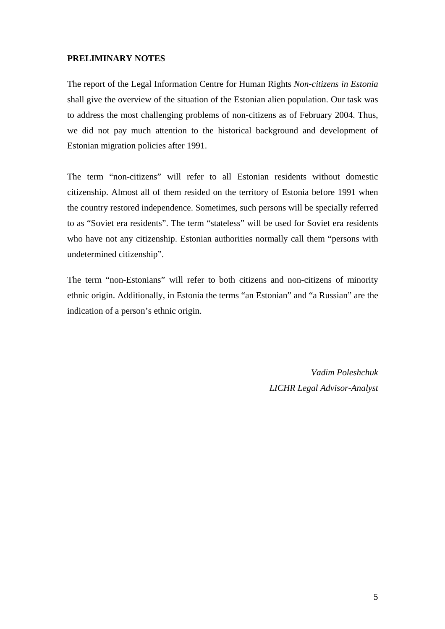## <span id="page-4-0"></span>**PRELIMINARY NOTES**

The report of the Legal Information Centre for Human Rights *Non-citizens in Estonia* shall give the overview of the situation of the Estonian alien population. Our task was to address the most challenging problems of non-citizens as of February 2004. Thus, we did not pay much attention to the historical background and development of Estonian migration policies after 1991.

The term "non-citizens" will refer to all Estonian residents without domestic citizenship. Almost all of them resided on the territory of Estonia before 1991 when the country restored independence. Sometimes, such persons will be specially referred to as "Soviet era residents". The term "stateless" will be used for Soviet era residents who have not any citizenship. Estonian authorities normally call them "persons with undetermined citizenship".

The term "non-Estonians" will refer to both citizens and non-citizens of minority ethnic origin. Additionally, in Estonia the terms "an Estonian" and "a Russian" are the indication of a person's ethnic origin.

> *Vadim Poleshchuk LICHR Legal Advisor-Analyst*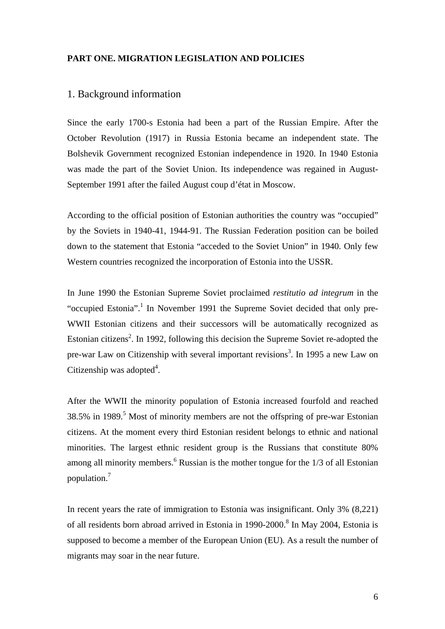## <span id="page-5-0"></span>**PART ONE. MIGRATION LEGISLATION AND POLICIES**

## 1. Background information

Since the early 1700-s Estonia had been a part of the Russian Empire. After the October Revolution (1917) in Russia Estonia became an independent state. The Bolshevik Government recognized Estonian independence in 1920. In 1940 Estonia was made the part of the Soviet Union. Its independence was regained in August-September 1991 after the failed August coup d'état in Moscow.

According to the official position of Estonian authorities the country was "occupied" by the Soviets in 1940-41, 1944-91. The Russian Federation position can be boiled down to the statement that Estonia "acceded to the Soviet Union" in 1940. Only few Western countries recognized the incorporation of Estonia into the USSR.

In June 1990 the Estonian Supreme Soviet proclaimed *restitutio ad integrum* in the "occupied Estonia".<sup>1</sup> In November 1991 the Supreme Soviet decided that only pre-WWII Estonian citizens and their successors will be automatically recognized as Estonian citizens<sup>[2](#page-49-1)</sup>. In 1992, following this decision the Supreme Soviet re-adopted the pre-war Law on Citizenship with several important revisions<sup>3</sup>[.](#page-49-2) In 1995 a new Law on Citizenship was adopted $4$ .

After the WWII the minority population of Estonia increased fourfold and reached  $38.5\%$  $38.5\%$  $38.5\%$  in 1989.<sup>5</sup> Most of minority members are not the offspring of pre-war Estonian citizens. At the moment every third Estonian resident belongs to ethnic and national minorities. The largest ethnic resident group is the Russians that constitute 80% among all minority members. $6$  Russian is the mother tongue for the  $1/3$  of all Estonian population[.7](#page-49-6)

In recent years the rate of immigration to Estonia was insignificant. Only 3% (8,221) of all residents born abroad arrived in Estonia in 1990-2000.<sup>[8](#page-49-7)</sup> In May 2004, Estonia is supposed to become a member of the European Union (EU). As a result the number of migrants may soar in the near future.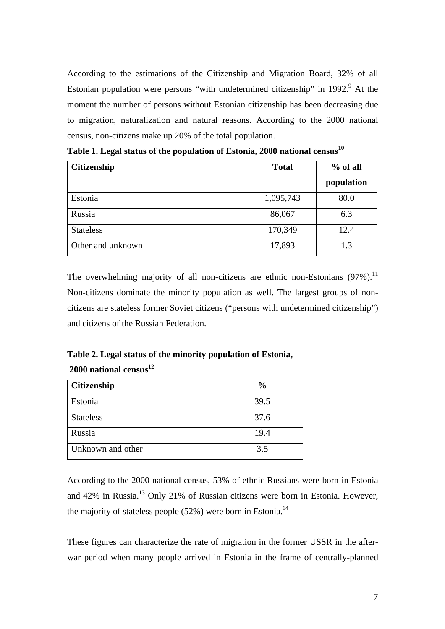According to the estimations of the Citizenship and Migration Board, 32% of all Estonian population were persons "with undetermined citizenship" in  $1992.9$  $1992.9$  $1992.9$ <sup>9</sup> At the moment the number of persons without Estonian citizenship has been decreasing due to migration, naturalization and natural reasons. According to the 2000 national census, non-citizens make up 20% of the total population.

| <b>Citizenship</b> | <b>Total</b> | $%$ of all |
|--------------------|--------------|------------|
|                    |              | population |
| Estonia            | 1,095,743    | 80.0       |
| Russia             | 86,067       | 6.3        |
| <b>Stateless</b>   | 170,349      | 12.4       |
| Other and unknown  | 17,893       | 1.3        |

**Table 1. Legal status of the population of Estonia, 2000 national census [10](#page-49-9)**

The overwhelming majority of all non-citizens are ethnic non-Estonians  $(97\%)$ .<sup>11</sup> Non-citizens dominate the minority population as well. The largest groups of noncitizens are stateless former Soviet citizens ("persons with undetermined citizenship") and citizens of the Russian Federation.

## **Table 2. Legal status of the minority population of Estonia, 2000 national censu[s12](#page-49-11)**

| Citizenship       | $\frac{0}{0}$ |
|-------------------|---------------|
| Estonia           | 39.5          |
| <b>Stateless</b>  | 37.6          |
| Russia            | 19.4          |
| Unknown and other | 3.5           |

According to the 2000 national census, 53% of ethnic Russians were born in Estonia and 42% in Russia.[13](#page-49-12) Only 21% of Russian citizens were born in Estonia. However, the majority of stateless people  $(52%)$  were born in Estonia.<sup>[14](#page-49-13)</sup>

These figures can characterize the rate of migration in the former USSR in the afterwar period when many people arrived in Estonia in the frame of centrally-planned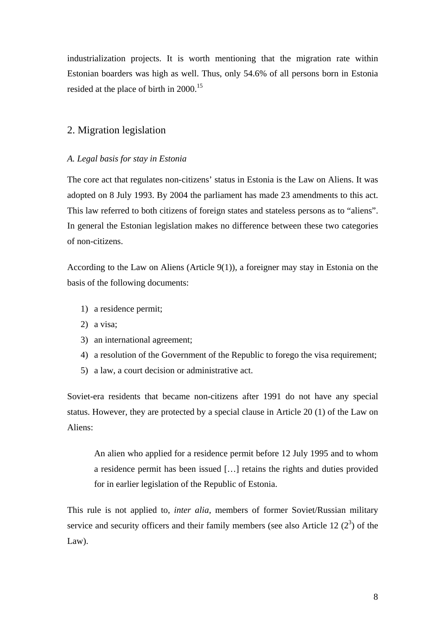<span id="page-7-0"></span>industrialization projects. It is worth mentioning that the migration rate within Estonian boarders was high as well. Thus, only 54.6% of all persons born in Estonia resided at the place of birth in 2000.<sup>[15](#page-49-14)</sup>

## 2. Migration legislation

### *A. Legal basis for stay in Estonia*

The core act that regulates non-citizens' status in Estonia is the Law on Aliens. It was adopted on 8 July 1993. By 2004 the parliament has made 23 amendments to this act. This law referred to both citizens of foreign states and stateless persons as to "aliens". In general the Estonian legislation makes no difference between these two categories of non-citizens.

According to the Law on Aliens (Article 9(1)), a foreigner may stay in Estonia on the basis of the following documents:

- 1) a residence permit;
- 2) a visa;
- 3) an international agreement;
- 4) a resolution of the Government of the Republic to forego the visa requirement;
- 5) a law, a court decision or administrative act.

Soviet-era residents that became non-citizens after 1991 do not have any special status. However, they are protected by a special clause in Article 20 (1) of the Law on Aliens:

An alien who applied for a residence permit before 12 July 1995 and to whom a residence permit has been issued […] retains the rights and duties provided for in earlier legislation of the Republic of Estonia.

This rule is not applied to, *inter alia,* members of former Soviet/Russian military service and security officers and their family members (see also Article 12 $(2^3)$ ) of the Law).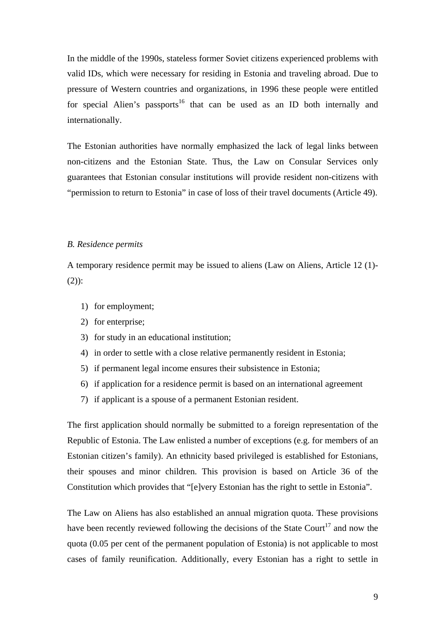<span id="page-8-0"></span>In the middle of the 1990s, stateless former Soviet citizens experienced problems with valid IDs, which were necessary for residing in Estonia and traveling abroad. Due to pressure of Western countries and organizations, in 1996 these people were entitled for special Alien's passports<sup>16</sup> that can be used as an ID both internally and internationally.

The Estonian authorities have normally emphasized the lack of legal links between non-citizens and the Estonian State. Thus, the Law on Consular Services only guarantees that Estonian consular institutions will provide resident non-citizens with "permission to return to Estonia" in case of loss of their travel documents (Article 49).

#### *B. Residence permits*

A temporary residence permit may be issued to aliens (Law on Aliens, Article 12 (1)- (2)):

- 1) for employment;
- 2) for enterprise;
- 3) for study in an educational institution;
- 4) in order to settle with a close relative permanently resident in Estonia;
- 5) if permanent legal income ensures their subsistence in Estonia;
- 6) if application for a residence permit is based on an international agreement
- 7) if applicant is a spouse of a permanent Estonian resident.

The first application should normally be submitted to a foreign representation of the Republic of Estonia. The Law enlisted a number of exceptions (e.g. for members of an Estonian citizen's family). An ethnicity based privileged is established for Estonians, their spouses and minor children. This provision is based on Article 36 of the Constitution which provides that "[e]very Estonian has the right to settle in Estonia".

The Law on Aliens has also established an annual migration quota. These provisions have been recently reviewed following the decisions of the State Court<sup>17</sup> and now the quota (0.05 per cent of the permanent population of Estonia) is not applicable to most cases of family reunification. Additionally, every Estonian has a right to settle in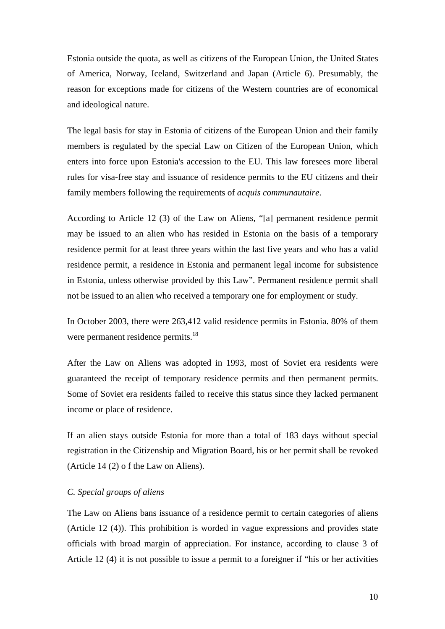<span id="page-9-0"></span>Estonia outside the quota, as well as citizens of the European Union, the United States of America, Norway, Iceland, Switzerland and Japan (Article 6). Presumably, the reason for exceptions made for citizens of the Western countries are of economical and ideological nature.

The legal basis for stay in Estonia of citizens of the European Union and their family members is regulated by the special Law on Citizen of the European Union, which enters into force upon Estonia's accession to the EU. This law foresees more liberal rules for visa-free stay and issuance of residence permits to the EU citizens and their family members following the requirements of *acquis communautaire*.

According to Article 12 (3) of the Law on Aliens, "[a] permanent residence permit may be issued to an alien who has resided in Estonia on the basis of a temporary residence permit for at least three years within the last five years and who has a valid residence permit, a residence in Estonia and permanent legal income for subsistence in Estonia, unless otherwise provided by this Law". Permanent residence permit shall not be issued to an alien who received a temporary one for employment or study.

In October 2003, there were 263,412 valid residence permits in Estonia. 80% of them were permanent residence permits.<sup>18</sup>

After the Law on Aliens was adopted in 1993, most of Soviet era residents were guaranteed the receipt of temporary residence permits and then permanent permits. Some of Soviet era residents failed to receive this status since they lacked permanent income or place of residence.

If an alien stays outside Estonia for more than a total of 183 days without special registration in the Citizenship and Migration Board, his or her permit shall be revoked (Article 14 (2) o f the Law on Aliens).

#### *C. Special groups of aliens*

The Law on Aliens bans issuance of a residence permit to certain categories of aliens (Article 12 (4)). This prohibition is worded in vague expressions and provides state officials with broad margin of appreciation. For instance, according to clause 3 of Article 12 (4) it is not possible to issue a permit to a foreigner if "his or her activities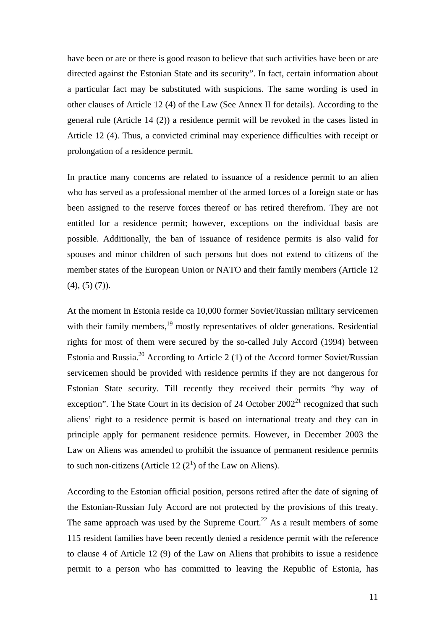have been or are or there is good reason to believe that such activities have been or are directed against the Estonian State and its security". In fact, certain information about a particular fact may be substituted with suspicions. The same wording is used in other clauses of Article 12 (4) of the Law (See Annex II for details). According to the general rule (Article 14 (2)) a residence permit will be revoked in the cases listed in Article 12 (4). Thus, a convicted criminal may experience difficulties with receipt or prolongation of a residence permit.

In practice many concerns are related to issuance of a residence permit to an alien who has served as a professional member of the armed forces of a foreign state or has been assigned to the reserve forces thereof or has retired therefrom. They are not entitled for a residence permit; however, exceptions on the individual basis are possible. Additionally, the ban of issuance of residence permits is also valid for spouses and minor children of such persons but does not extend to citizens of the member states of the European Union or NATO and their family members (Article 12  $(4), (5) (7)$ .

At the moment in Estonia reside ca 10,000 former Soviet/Russian military servicemen with their family members, <sup>19</sup> mostly representatives of older generations. Residential rights for most of them were secured by the so-called July Accord (1994) between Estonia and Russia.<sup>20</sup> According to Article 2 (1) of the Accord former Soviet/Russian servicemen should be provided with residence permits if they are not dangerous for Estonian State security. Till recently they received their permits "by way of exception".The State Court in its decision of 24 October  $2002<sup>21</sup>$  recognized that such aliens' right to a residence permit is based on international treaty and they can in principle apply for permanent residence permits. However, in December 2003 the Law on Aliens was amended to prohibit the issuance of permanent residence permits to such non-citizens (Article 12 $(2^1)$  of the Law on Aliens).

According to the Estonian official position, persons retired after the date of signing of the Estonian-Russian July Accord are not protected by the provisions of this treaty. The same approach was used by the Supreme Court.<sup>22</sup> As a result members of some 115 resident families have been recently denied a residence permit with the reference to clause 4 of Article 12 (9) of the Law on Aliens that prohibits to issue a residence permit to a person who has committed to leaving the Republic of Estonia, has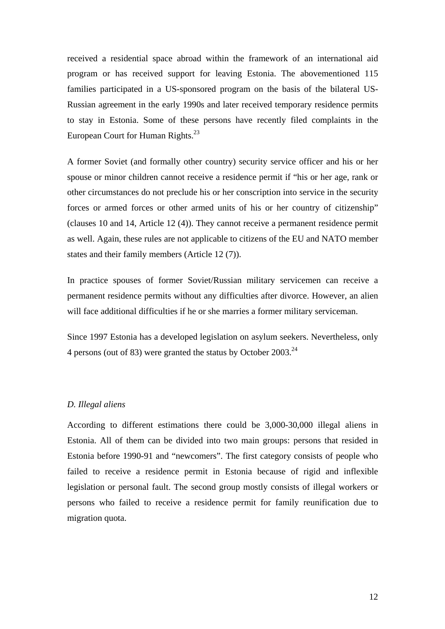<span id="page-11-0"></span>received a residential space abroad within the framework of an international aid program or has received support for leaving Estonia. The abovementioned 115 families participated in a US-sponsored program on the basis of the bilateral US-Russian agreement in the early 1990s and later received temporary residence permits to stay in Estonia. Some of these persons have recently filed complaints in the European Court for Human Rights.<sup>[23](#page-49-22)</sup>

A former Soviet (and formally other country) security service officer and his or her spouse or minor children cannot receive a residence permit if "his or her age, rank or other circumstances do not preclude his or her conscription into service in the security forces or armed forces or other armed units of his or her country of citizenship" (clauses 10 and 14, Article 12 (4)). They cannot receive a permanent residence permit as well. Again, these rules are not applicable to citizens of the EU and NATO member states and their family members (Article 12 (7)).

In practice spouses of former Soviet/Russian military servicemen can receive a permanent residence permits without any difficulties after divorce. However, an alien will face additional difficulties if he or she marries a former military serviceman.

Since 1997 Estonia has a developed legislation on asylum seekers. Nevertheless, only 4 persons (out of 83) were granted the status by October 2003.[24](#page-49-23)

#### *D. Illegal aliens*

According to different estimations there could be 3,000-30,000 illegal aliens in Estonia. All of them can be divided into two main groups: persons that resided in Estonia before 1990-91 and "newcomers". The first category consists of people who failed to receive a residence permit in Estonia because of rigid and inflexible legislation or personal fault. The second group mostly consists of illegal workers or persons who failed to receive a residence permit for family reunification due to migration quota.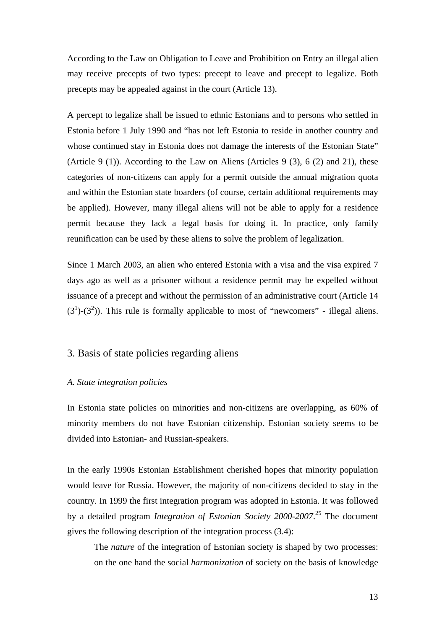<span id="page-12-0"></span>According to the Law on Obligation to Leave and Prohibition on Entry an illegal alien may receive precepts of two types: precept to leave and precept to legalize. Both precepts may be appealed against in the court (Article 13).

A percept to legalize shall be issued to ethnic Estonians and to persons who settled in Estonia before 1 July 1990 and "has not left Estonia to reside in another country and whose continued stay in Estonia does not damage the interests of the Estonian State" (Article 9 (1)). According to the Law on Aliens (Articles 9 (3), 6 (2) and 21), these categories of non-citizens can apply for a permit outside the annual migration quota and within the Estonian state boarders (of course, certain additional requirements may be applied). However, many illegal aliens will not be able to apply for a residence permit because they lack a legal basis for doing it. In practice, only family reunification can be used by these aliens to solve the problem of legalization.

Since 1 March 2003, an alien who entered Estonia with a visa and the visa expired 7 days ago as well as a prisoner without a residence permit may be expelled without issuance of a precept and without the permission of an administrative court (Article 14  $(3<sup>1</sup>)-(3<sup>2</sup>)$ ). This rule is formally applicable to most of "newcomers" - illegal aliens.

## 3. Basis of state policies regarding aliens

### *A. State integration policies*

In Estonia state policies on minorities and non-citizens are overlapping, as 60% of minority members do not have Estonian citizenship. Estonian society seems to be divided into Estonian- and Russian-speakers.

In the early 1990s Estonian Establishment cherished hopes that minority population would leave for Russia. However, the majority of non-citizens decided to stay in the country. In 1999 the first integration program was adopted in Estonia. It was followed by a detailed program *Integration of Estonian Society 2000-2007*. [25](#page-49-24) The document gives the following description of the integration process (3.4):

The *nature* of the integration of Estonian society is shaped by two processes: on the one hand the social *harmonization* of society on the basis of knowledge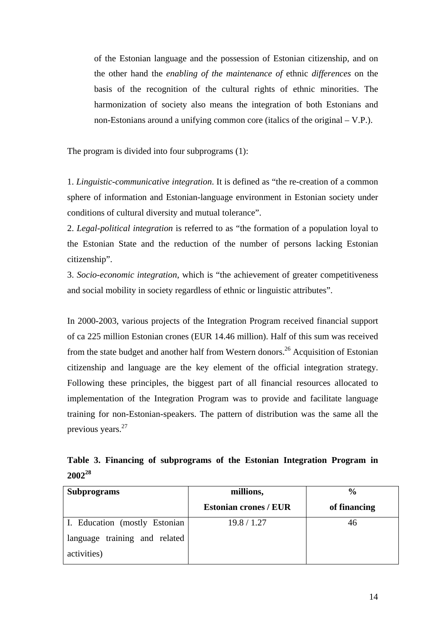of the Estonian language and the possession of Estonian citizenship, and on the other hand the *enabling of the maintenance of* ethnic *differences* on the basis of the recognition of the cultural rights of ethnic minorities. The harmonization of society also means the integration of both Estonians and non-Estonians around a unifying common core (italics of the original – V.P.).

The program is divided into four subprograms (1):

1. *Linguistic-communicative integration*. It is defined as "the re-creation of a common sphere of information and Estonian-language environment in Estonian society under conditions of cultural diversity and mutual tolerance".

2. *Legal-political integration* is referred to as "the formation of a population loyal to the Estonian State and the reduction of the number of persons lacking Estonian citizenship".

3. *Socio-economic integration*, which is "the achievement of greater competitiveness and social mobility in society regardless of ethnic or linguistic attributes".

In 2000-2003, various projects of the Integration Program received financial support of ca 225 million Estonian crones (EUR 14.46 million). Half of this sum was received from the state budget and another half from Western donors.<sup>26</sup> Acquisition of Estonian citizenship and language are the key element of the official integration strategy. Following these principles, the biggest part of all financial resources allocated to implementation of the Integration Program was to provide and facilitate language training for non-Estonian-speakers. The pattern of distribution was the same all the previous years.[27](#page-49-26)

**Table 3. Financing of subprograms of the Estonian Integration Program in 2002[28](#page-49-27)**

| <b>Subprograms</b>            | millions,                    | $\frac{6}{9}$ |  |  |
|-------------------------------|------------------------------|---------------|--|--|
|                               | <b>Estonian crones / EUR</b> | of financing  |  |  |
| I. Education (mostly Estonian | 19.8 / 1.27                  | 46            |  |  |
| language training and related |                              |               |  |  |
| activities)                   |                              |               |  |  |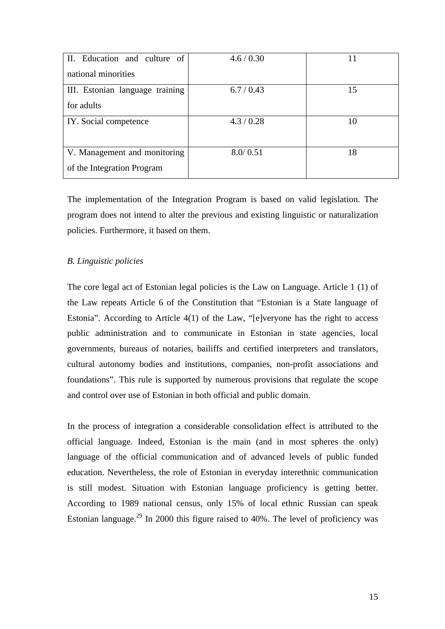<span id="page-14-0"></span>

| II. Education and culture of    | 4.6 / 0.30 | 11 |
|---------------------------------|------------|----|
| national minorities             |            |    |
| III. Estonian language training | 6.7/0.43   | 15 |
| for adults                      |            |    |
| IY. Social competence           | 4.3/0.28   | 10 |
|                                 |            |    |
| V. Management and monitoring    | 8.0/0.51   | 18 |
| of the Integration Program      |            |    |

The implementation of the Integration Program is based on valid legislation. The program does not intend to alter the previous and existing linguistic or naturalization policies. Furthermore, it based on them.

## *B. Linguistic policies*

The core legal act of Estonian legal policies is the Law on Language. Article 1 (1) of the Law repeats Article 6 of the Constitution that "Estonian is a State language of Estonia". According to Article 4(1) of the Law, "[e]veryone has the right to access public administration and to communicate in Estonian in state agencies, local governments, bureaus of notaries, bailiffs and certified interpreters and translators, cultural autonomy bodies and institutions, companies, non-profit associations and foundations". This rule is supported by numerous provisions that regulate the scope and control over use of Estonian in both official and public domain.

In the process of integration a considerable consolidation effect is attributed to the official language. Indeed, Estonian is the main (and in most spheres the only) language of the official communication and of advanced levels of public funded education. Nevertheless, the role of Estonian in everyday interethnic communication is still modest. Situation with Estonian language proficiency is getting better. According to 1989 national census, only 15% of local ethnic Russian can speak Estonian language.<sup>29</sup> In 2000 this figure raised to  $40\%$ . The level of proficiency was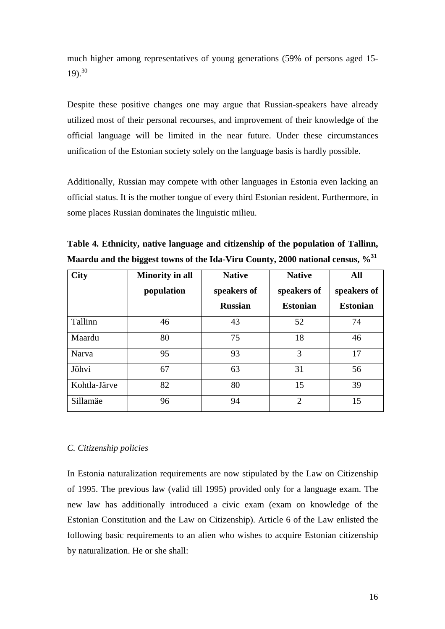<span id="page-15-0"></span>much higher among representatives of young generations (59% of persons aged 15-  $19)$ .<sup>[30](#page-49-29)</sup>

Despite these positive changes one may argue that Russian-speakers have already utilized most of their personal recourses, and improvement of their knowledge of the official language will be limited in the near future. Under these circumstances unification of the Estonian society solely on the language basis is hardly possible.

Additionally, Russian may compete with other languages in Estonia even lacking an official status. It is the mother tongue of every third Estonian resident. Furthermore, in some places Russian dominates the linguistic milieu.

| <b>City</b>  | <b>Minority in all</b> | <b>Native</b>  | <b>Native</b>   | <b>All</b>      |
|--------------|------------------------|----------------|-----------------|-----------------|
|              | population             | speakers of    | speakers of     | speakers of     |
|              |                        | <b>Russian</b> | <b>Estonian</b> | <b>Estonian</b> |
| Tallinn      | 46                     | 43             | 52              | 74              |
| Maardu       | 80                     | 75             | 18              | 46              |
| Narva        | 95                     | 93             | 3               | 17              |
| Jõhvi        | 67                     | 63             | 31              | 56              |
| Kohtla-Järve | 82                     | 80             | 15              | 39              |
| Sillamäe     | 96                     | 94             | $\overline{2}$  | 15              |

**Table 4. Ethnicity, native language and citizenship of the population of Tallinn, Maardu and the biggest towns of the Ida-Viru County, 2000 national census, %[31](#page-49-30)** 

## *C. Citizenship policies*

In Estonia naturalization requirements are now stipulated by the Law on Citizenship of 1995. The previous law (valid till 1995) provided only for a language exam. The new law has additionally introduced a civic exam (exam on knowledge of the Estonian Constitution and the Law on Citizenship). Article 6 of the Law enlisted the following basic requirements to an alien who wishes to acquire Estonian citizenship by naturalization. He or she shall: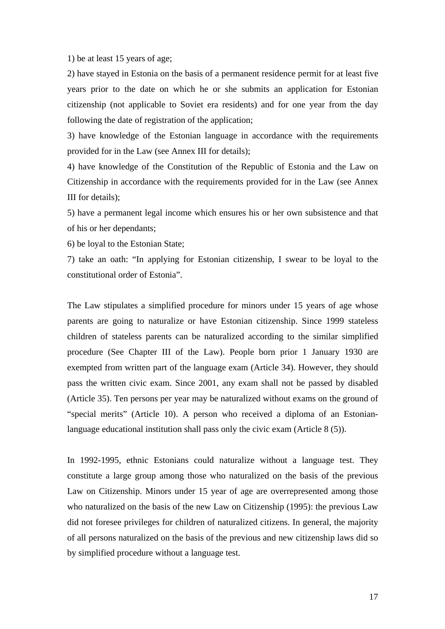1) be at least 15 years of age;

2) have stayed in Estonia on the basis of a permanent residence permit for at least five years prior to the date on which he or she submits an application for Estonian citizenship (not applicable to Soviet era residents) and for one year from the day following the date of registration of the application;

3) have knowledge of the Estonian language in accordance with the requirements provided for in the Law (see Annex III for details);

4) have knowledge of the Constitution of the Republic of Estonia and the Law on Citizenship in accordance with the requirements provided for in the Law (see Annex III for details);

5) have a permanent legal income which ensures his or her own subsistence and that of his or her dependants;

6) be loyal to the Estonian State;

7) take an oath: "In applying for Estonian citizenship, I swear to be loyal to the constitutional order of Estonia".

The Law stipulates a simplified procedure for minors under 15 years of age whose parents are going to naturalize or have Estonian citizenship. Since 1999 stateless children of stateless parents can be naturalized according to the similar simplified procedure (See Chapter III of the Law). People born prior 1 January 1930 are exempted from written part of the language exam (Article 34). However, they should pass the written civic exam. Since 2001, any exam shall not be passed by disabled (Article 35). Ten persons per year may be naturalized without exams on the ground of "special merits" (Article 10). A person who received a diploma of an Estonianlanguage educational institution shall pass only the civic exam (Article 8 (5)).

In 1992-1995, ethnic Estonians could naturalize without a language test. They constitute a large group among those who naturalized on the basis of the previous Law on Citizenship. Minors under 15 year of age are overrepresented among those who naturalized on the basis of the new Law on Citizenship (1995): the previous Law did not foresee privileges for children of naturalized citizens. In general, the majority of all persons naturalized on the basis of the previous and new citizenship laws did so by simplified procedure without a language test.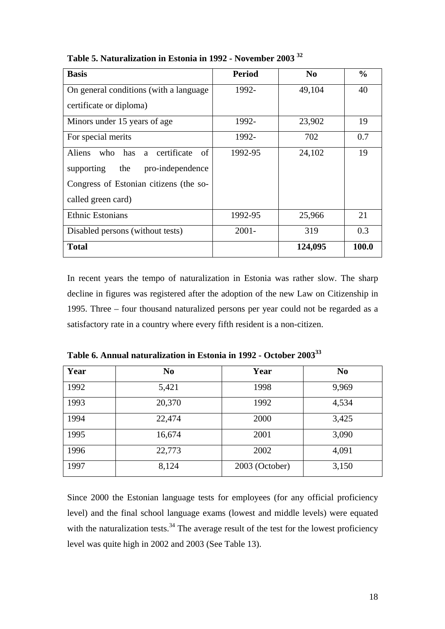| <b>Basis</b>                                 | <b>Period</b> | N <sub>0</sub> | $\frac{0}{0}$ |
|----------------------------------------------|---------------|----------------|---------------|
| On general conditions (with a language)      | 1992-         | 49,104         | 40            |
| certificate or diploma)                      |               |                |               |
| Minors under 15 years of age                 | 1992-         | 23,902         | 19            |
| For special merits                           | 1992-         | 702            | 0.7           |
| of<br>who has a certificate<br><b>Aliens</b> | 1992-95       | 24,102         | 19            |
| the<br>pro-independence<br>supporting        |               |                |               |
| Congress of Estonian citizens (the so-       |               |                |               |
| called green card)                           |               |                |               |
| <b>Ethnic Estonians</b>                      | 1992-95       | 25,966         | 21            |
| Disabled persons (without tests)             | $2001 -$      | 319            | 0.3           |
| <b>Total</b>                                 |               | 124,095        | 100.0         |

**Table 5. Naturalization in Estonia in 1992 - November 2003 [32](#page-49-31)**

In recent years the tempo of naturalization in Estonia was rather slow. The sharp decline in figures was registered after the adoption of the new Law on Citizenship in 1995. Three – four thousand naturalized persons per year could not be regarded as a satisfactory rate in a country where every fifth resident is a non-citizen.

| Year | N <sub>0</sub> | Year           | N <sub>0</sub> |
|------|----------------|----------------|----------------|
| 1992 | 5,421          | 1998           | 9,969          |
| 1993 | 20,370         | 1992           | 4,534          |
| 1994 | 22,474         | 2000           | 3,425          |
| 1995 | 16,674         | 2001           | 3,090          |
| 1996 | 22,773         | 2002           | 4,091          |
| 1997 | 8,124          | 2003 (October) | 3,150          |

**Table 6. Annual naturalization in Estonia in 1992 - October 2003[33](#page-49-32)**

Since 2000 the Estonian language tests for employees (for any official proficiency level) and the final school language exams (lowest and middle levels) were equated with the naturalization tests.<sup>34</sup> The average result of the test for the lowest proficiency level was quite high in 2002 and 2003 (See Table 13).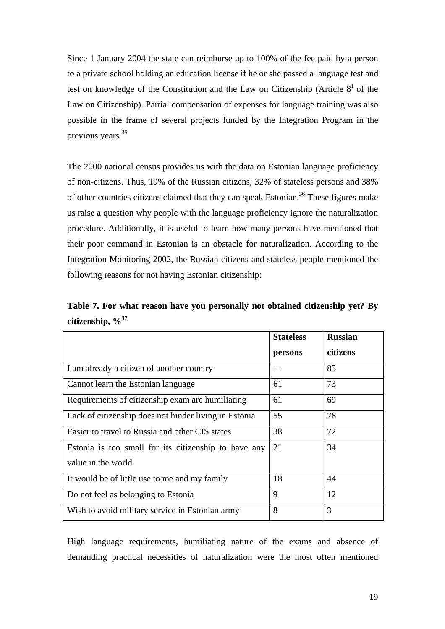Since 1 January 2004 the state can reimburse up to 100% of the fee paid by a person to a private school holding an education license if he or she passed a language test and test on knowledge of the Constitution and the Law on Citizenship (Article  $8<sup>1</sup>$  of the Law on Citizenship). Partial compensation of expenses for language training was also possible in the frame of several projects funded by the Integration Program in the previous years.<sup>[35](#page-49-34)</sup>

The 2000 national census provides us with the data on Estonian language proficiency of non-citizens. Thus, 19% of the Russian citizens, 32% of stateless persons and 38% of other countries citizens claimed that they can speak Estonian.[36](#page-49-35) These figures make us raise a question why people with the language proficiency ignore the naturalization procedure. Additionally, it is useful to learn how many persons have mentioned that their poor command in Estonian is an obstacle for naturalization. According to the Integration Monitoring 2002, the Russian citizens and stateless people mentioned the following reasons for not having Estonian citizenship:

|                        |  |  |  | Table 7. For what reason have you personally not obtained citizenship yet? By |  |
|------------------------|--|--|--|-------------------------------------------------------------------------------|--|
| citizenship, $\%^{37}$ |  |  |  |                                                                               |  |

|                                                       | <b>Stateless</b> | <b>Russian</b> |
|-------------------------------------------------------|------------------|----------------|
|                                                       | persons          | citizens       |
| I am already a citizen of another country             |                  | 85             |
| Cannot learn the Estonian language                    | 61               | 73             |
| Requirements of citizenship exam are humiliating      | 61               | 69             |
| Lack of citizenship does not hinder living in Estonia | 55               | 78             |
| Easier to travel to Russia and other CIS states       | 38               | 72             |
| Estonia is too small for its citizenship to have any  | 21               | 34             |
| value in the world                                    |                  |                |
| It would be of little use to me and my family         | 18               | 44             |
| Do not feel as belonging to Estonia                   | 9                | 12             |
| Wish to avoid military service in Estonian army       | 8                | 3              |

High language requirements, humiliating nature of the exams and absence of demanding practical necessities of naturalization were the most often mentioned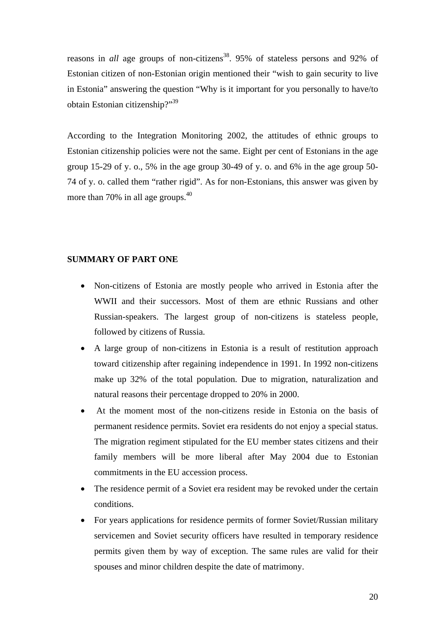<span id="page-19-0"></span>reasons in *all* age groups of non-citizens<sup>38</sup>. 95% of stateless persons and 92% of Estonian citizen of non-Estonian origin mentioned their "wish to gain security to live in Estonia" answering the question "Why is it important for you personally to have/to obtain Estonian citizenship?["39](#page-49-11)

According to the Integration Monitoring 2002, the attitudes of ethnic groups to Estonian citizenship policies were not the same. Eight per cent of Estonians in the age group 15-29 of y. o., 5% in the age group 30-49 of y. o. and 6% in the age group 50- 74 of y. o. called them "rather rigid". As for non-Estonians, this answer was given by more than 70% in all age groups.<sup>[40](#page-49-12)</sup>

## **SUMMARY OF PART ONE**

- Non-citizens of Estonia are mostly people who arrived in Estonia after the WWII and their successors. Most of them are ethnic Russians and other Russian-speakers. The largest group of non-citizens is stateless people, followed by citizens of Russia.
- A large group of non-citizens in Estonia is a result of restitution approach toward citizenship after regaining independence in 1991. In 1992 non-citizens make up 32% of the total population. Due to migration, naturalization and natural reasons their percentage dropped to 20% in 2000.
- At the moment most of the non-citizens reside in Estonia on the basis of permanent residence permits. Soviet era residents do not enjoy a special status. The migration regiment stipulated for the EU member states citizens and their family members will be more liberal after May 2004 due to Estonian commitments in the EU accession process.
- The residence permit of a Soviet era resident may be revoked under the certain conditions.
- For years applications for residence permits of former Soviet/Russian military servicemen and Soviet security officers have resulted in temporary residence permits given them by way of exception. The same rules are valid for their spouses and minor children despite the date of matrimony.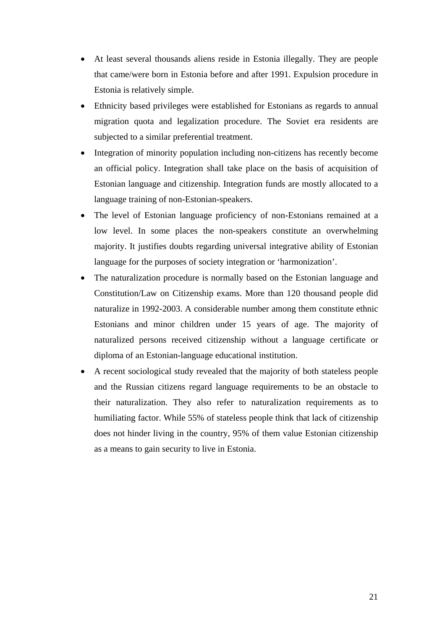- At least several thousands aliens reside in Estonia illegally. They are people that came/were born in Estonia before and after 1991. Expulsion procedure in Estonia is relatively simple.
- Ethnicity based privileges were established for Estonians as regards to annual migration quota and legalization procedure. The Soviet era residents are subjected to a similar preferential treatment.
- Integration of minority population including non-citizens has recently become an official policy. Integration shall take place on the basis of acquisition of Estonian language and citizenship. Integration funds are mostly allocated to a language training of non-Estonian-speakers.
- The level of Estonian language proficiency of non-Estonians remained at a low level. In some places the non-speakers constitute an overwhelming majority. It justifies doubts regarding universal integrative ability of Estonian language for the purposes of society integration or 'harmonization'.
- The naturalization procedure is normally based on the Estonian language and Constitution/Law on Citizenship exams. More than 120 thousand people did naturalize in 1992-2003. A considerable number among them constitute ethnic Estonians and minor children under 15 years of age. The majority of naturalized persons received citizenship without a language certificate or diploma of an Estonian-language educational institution.
- A recent sociological study revealed that the majority of both stateless people and the Russian citizens regard language requirements to be an obstacle to their naturalization. They also refer to naturalization requirements as to humiliating factor. While 55% of stateless people think that lack of citizenship does not hinder living in the country, 95% of them value Estonian citizenship as a means to gain security to live in Estonia.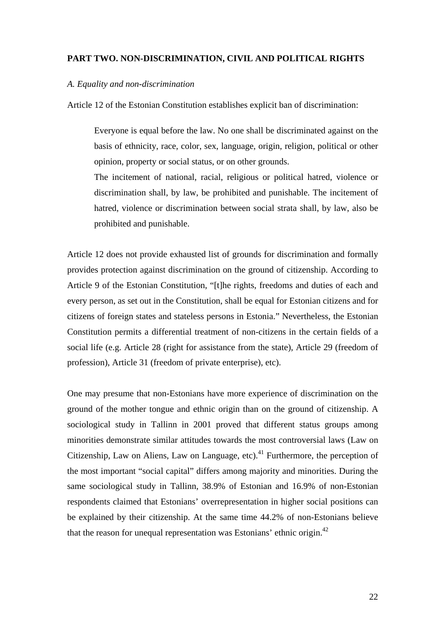## <span id="page-21-0"></span>**PART TWO. NON-DISCRIMINATION, CIVIL AND POLITICAL RIGHTS**

#### *A. Equality and non-discrimination*

Article 12 of the Estonian Constitution establishes explicit ban of discrimination:

Everyone is equal before the law. No one shall be discriminated against on the basis of ethnicity, race, color, sex, language, origin, religion, political or other opinion, property or social status, or on other grounds.

The incitement of national, racial, religious or political hatred, violence or discrimination shall, by law, be prohibited and punishable. The incitement of hatred, violence or discrimination between social strata shall, by law, also be prohibited and punishable.

Article 12 does not provide exhausted list of grounds for discrimination and formally provides protection against discrimination on the ground of citizenship. According to Article 9 of the Estonian Constitution, "[t]he rights, freedoms and duties of each and every person, as set out in the Constitution, shall be equal for Estonian citizens and for citizens of foreign states and stateless persons in Estonia." Nevertheless, the Estonian Constitution permits a differential treatment of non-citizens in the certain fields of a social life (e.g. Article 28 (right for assistance from the state), Article 29 (freedom of profession), Article 31 (freedom of private enterprise), etc).

One may presume that non-Estonians have more experience of discrimination on the ground of the mother tongue and ethnic origin than on the ground of citizenship. A sociological study in Tallinn in 2001 proved that different status groups among minorities demonstrate similar attitudes towards the most controversial laws (Law on Citizenship, Law on Aliens, Law on Language, etc).<sup>41</sup> Furthermore, the perception of the most important "social capital" differs among majority and minorities. During the same sociological study in Tallinn, 38.9% of Estonian and 16.9% of non-Estonian respondents claimed that Estonians' overrepresentation in higher social positions can be explained by their citizenship. At the same time 44.2% of non-Estonians believe that the reason for unequal representation was Estonians' ethnic origin. $^{42}$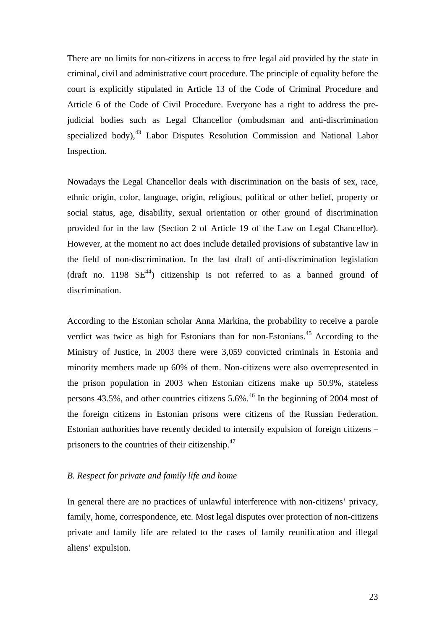<span id="page-22-0"></span>There are no limits for non-citizens in access to free legal aid provided by the state in criminal, civil and administrative court procedure. The principle of equality before the court is explicitly stipulated in Article 13 of the Code of Criminal Procedure and Article 6 of the Code of Civil Procedure. Everyone has a right to address the prejudicial bodies such as Legal Chancellor (ombudsman and anti-discrimination specialized body),  $43$  Labor Disputes Resolution Commission and National Labor Inspection.

Nowadays the Legal Chancellor deals with discrimination on the basis of sex, race, ethnic origin, color, language, origin, religious, political or other belief, property or social status, age, disability, sexual orientation or other ground of discrimination provided for in the law (Section 2 of Article 19 of the Law on Legal Chancellor). However, at the moment no act does include detailed provisions of substantive law in the field of non-discrimination. In the last draft of anti-discrimination legislation (draft no. 1198  $SE^{44}$ ) citizenship is not referred to as a banned ground of discrimination.

According to the Estonian scholar Anna Markina, the probability to receive a parole verdict was twice as high for Estonians than for non-Estonians.<sup>45</sup> According to the Ministry of Justice, in 2003 there were 3,059 convicted criminals in Estonia and minority members made up 60% of them. Non-citizens were also overrepresented in the prison population in 2003 when Estonian citizens make up 50.9%, stateless persons  $43.5\%$ , and other countries citizens  $5.6\%$ .<sup>46</sup> In the beginning of 2004 most of the foreign citizens in Estonian prisons were citizens of the Russian Federation. Estonian authorities have recently decided to intensify expulsion of foreign citizens – prisoners to the countries of their citizenship.<sup>[47](#page-49-39)</sup>

#### *B. Respect for private and family life and home*

In general there are no practices of unlawful interference with non-citizens' privacy, family, home, correspondence, etc. Most legal disputes over protection of non-citizens private and family life are related to the cases of family reunification and illegal aliens' expulsion.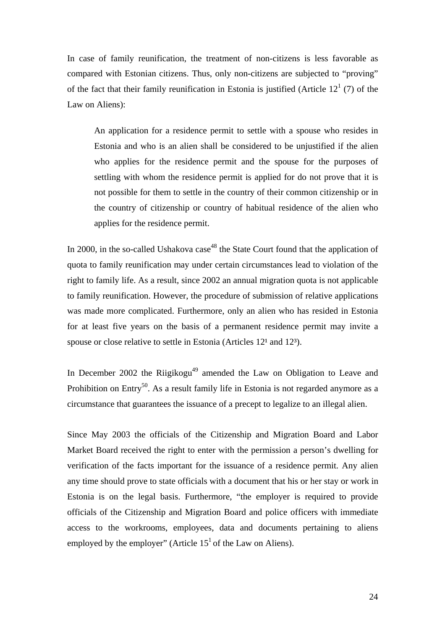In case of family reunification, the treatment of non-citizens is less favorable as compared with Estonian citizens. Thus, only non-citizens are subjected to "proving" of the fact that their family reunification in Estonia is justified (Article  $12<sup>1</sup>$  (7) of the Law on Aliens):

An application for a residence permit to settle with a spouse who resides in Estonia and who is an alien shall be considered to be unjustified if the alien who applies for the residence permit and the spouse for the purposes of settling with whom the residence permit is applied for do not prove that it is not possible for them to settle in the country of their common citizenship or in the country of citizenship or country of habitual residence of the alien who applies for the residence permit.

In 2000, in the so-called Ushakova  $case^{48}$  the State Court found that the application of quota to family reunification may under certain circumstances lead to violation of the right to family life. As a result, since 2002 an annual migration quota is not applicable to family reunification. However, the procedure of submission of relative applications was made more complicated. Furthermore, only an alien who has resided in Estonia for at least five years on the basis of a permanent residence permit may invite a spouse or close relative to settle in Estonia (Articles  $12<sup>1</sup>$  and  $12<sup>3</sup>$ ).

In December 2002 the Riigikogu<sup>49</sup> amended the Law on Obligation to Leave and Prohibition on Entry<sup>50</sup>. As a result family life in Estonia is not regarded anymore as a circumstance that guarantees the issuance of a precept to legalize to an illegal alien.

Since May 2003 the officials of the Citizenship and Migration Board and Labor Market Board received the right to enter with the permission a person's dwelling for verification of the facts important for the issuance of a residence permit. Any alien any time should prove to state officials with a document that his or her stay or work in Estonia is on the legal basis. Furthermore, "the employer is required to provide officials of the Citizenship and Migration Board and police officers with immediate access to the workrooms, employees, data and documents pertaining to aliens employed by the employer" (Article  $15<sup>1</sup>$  of the Law on Aliens).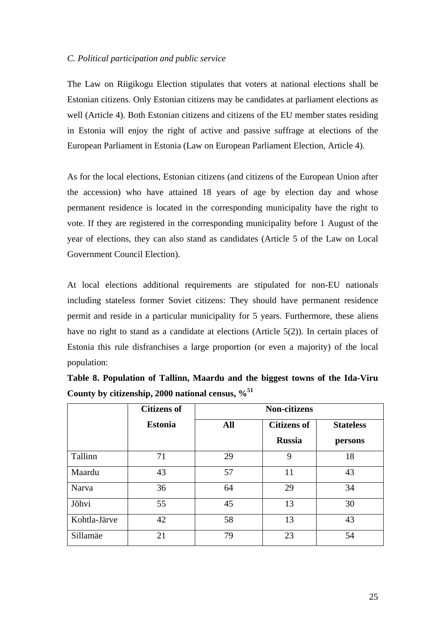## <span id="page-24-0"></span>*C. Political participation and public service*

The Law on Riigikogu Election stipulates that voters at national elections shall be Estonian citizens. Only Estonian citizens may be candidates at parliament elections as well (Article 4). Both Estonian citizens and citizens of the EU member states residing in Estonia will enjoy the right of active and passive suffrage at elections of the European Parliament in Estonia (Law on European Parliament Election, Article 4).

As for the local elections, Estonian citizens (and citizens of the European Union after the accession) who have attained 18 years of age by election day and whose permanent residence is located in the corresponding municipality have the right to vote. If they are registered in the corresponding municipality before 1 August of the year of elections, they can also stand as candidates (Article 5 of the Law on Local Government Council Election).

At local elections additional requirements are stipulated for non-EU nationals including stateless former Soviet citizens: They should have permanent residence permit and reside in a particular municipality for 5 years. Furthermore, these aliens have no right to stand as a candidate at elections (Article 5(2)). In certain places of Estonia this rule disfranchises a large proportion (or even a majority) of the local population:

| Table 8. Population of Tallinn, Maardu and the biggest towns of the Ida-Viru |  |  |  |  |  |  |
|------------------------------------------------------------------------------|--|--|--|--|--|--|
| County by citizenship, 2000 national census, $\%$ <sup>51</sup>              |  |  |  |  |  |  |

|              | <b>Citizens of</b> | <b>Non-citizens</b> |                    |         |  |  |  |
|--------------|--------------------|---------------------|--------------------|---------|--|--|--|
|              | <b>Estonia</b>     | All                 | <b>Citizens of</b> |         |  |  |  |
|              |                    |                     | <b>Russia</b>      | persons |  |  |  |
| Tallinn      | 71                 | 29                  | 9                  | 18      |  |  |  |
| Maardu       | 43                 | 57                  | 11                 | 43      |  |  |  |
| Narva        | 36                 | 64                  | 29                 | 34      |  |  |  |
| Jõhvi        | 55                 | 45                  | 13                 | 30      |  |  |  |
| Kohtla-Järve | 42                 | 58                  | 13                 | 43      |  |  |  |
| Sillamäe     | 21                 | 79                  | 23                 | 54      |  |  |  |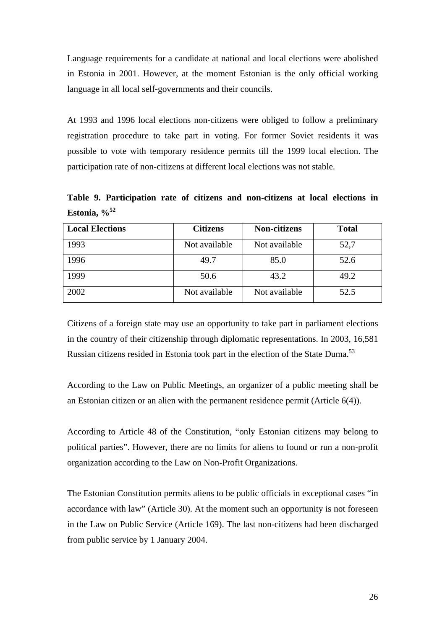Language requirements for a candidate at national and local elections were abolished in Estonia in 2001. However, at the moment Estonian is the only official working language in all local self-governments and their councils.

At 1993 and 1996 local elections non-citizens were obliged to follow a preliminary registration procedure to take part in voting. For former Soviet residents it was possible to vote with temporary residence permits till the 1999 local election. The participation rate of non-citizens at different local elections was not stable.

**Table 9. Participation rate of citizens and non-citizens at local elections in Estonia, %[52](#page-49-22)**

| <b>Local Elections</b> | <b>Citizens</b> | <b>Non-citizens</b> | <b>Total</b> |
|------------------------|-----------------|---------------------|--------------|
| 1993                   | Not available   | Not available       | 52,7         |
| 1996                   | 49.7            | 85.0                | 52.6         |
| 1999                   | 50.6            | 43.2                | 49.2         |
| 2002                   | Not available   | Not available       | 52.5         |

Citizens of a foreign state may use an opportunity to take part in parliament elections in the country of their citizenship through diplomatic representations. In 2003, 16,581 Russian citizens resided in Estonia took part in the election of the State Duma.<sup>[53](#page-49-43)</sup>

According to the Law on Public Meetings, an organizer of a public meeting shall be an Estonian citizen or an alien with the permanent residence permit (Article 6(4)).

According to Article 48 of the Constitution, "only Estonian citizens may belong to political parties". However, there are no limits for aliens to found or run a non-profit organization according to the Law on Non-Profit Organizations.

The Estonian Constitution permits aliens to be public officials in exceptional cases "in accordance with law" (Article 30). At the moment such an opportunity is not foreseen in the Law on Public Service (Article 169). The last non-citizens had been discharged from public service by 1 January 2004.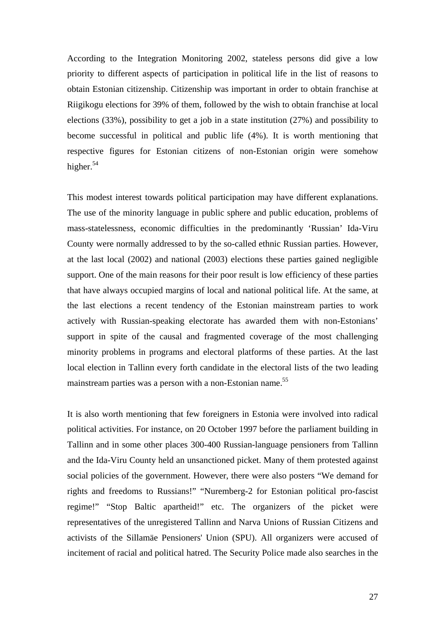According to the Integration Monitoring 2002, stateless persons did give a low priority to different aspects of participation in political life in the list of reasons to obtain Estonian citizenship. Citizenship was important in order to obtain franchise at Riigikogu elections for 39% of them, followed by the wish to obtain franchise at local elections (33%), possibility to get a job in a state institution (27%) and possibility to become successful in political and public life (4%). It is worth mentioning that respective figures for Estonian citizens of non-Estonian origin were somehow higher. $54$ 

This modest interest towards political participation may have different explanations. The use of the minority language in public sphere and public education, problems of mass-statelessness, economic difficulties in the predominantly 'Russian' Ida-Viru County were normally addressed to by the so-called ethnic Russian parties. However, at the last local (2002) and national (2003) elections these parties gained negligible support. One of the main reasons for their poor result is low efficiency of these parties that have always occupied margins of local and national political life. At the same, at the last elections a recent tendency of the Estonian mainstream parties to work actively with Russian-speaking electorate has awarded them with non-Estonians' support in spite of the causal and fragmented coverage of the most challenging minority problems in programs and electoral platforms of these parties. At the last local election in Tallinn every forth candidate in the electoral lists of the two leading mainstream parties was a person with a non-Estonian name.<sup>[55](#page-49-44)</sup>

It is also worth mentioning that few foreigners in Estonia were involved into radical political activities. For instance, on 20 October 1997 before the parliament building in Tallinn and in some other places 300-400 Russian-language pensioners from Tallinn and the Ida-Viru County held an unsanctioned picket. Many of them protested against social policies of the government. However, there were also posters "We demand for rights and freedoms to Russians!" "Nuremberg-2 for Estonian political pro-fascist regime!" "Stop Baltic apartheid!" etc. The organizers of the picket were representatives of the unregistered Tallinn and Narva Unions of Russian Citizens and activists of the Sillamäe Pensioners' Union (SPU). All organizers were accused of incitement of racial and political hatred. The Security Police made also searches in the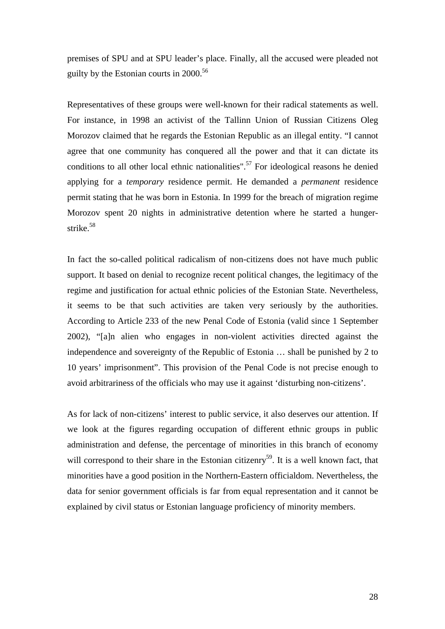premises of SPU and at SPU leader's place. Finally, all the accused were pleaded not guilty by the Estonian courts in  $2000^{56}$ 

Representatives of these groups were well-known for their radical statements as well. For instance, in 1998 an activist of the Tallinn Union of Russian Citizens Oleg Morozov claimed that he regards the Estonian Republic as an illegal entity. "I cannot agree that one community has conquered all the power and that it can dictate its conditions to all other local ethnic nationalities".<sup>57</sup> For ideological reasons he denied applying for a *temporary* residence permit. He demanded a *permanent* residence permit stating that he was born in Estonia. In 1999 for the breach of migration regime Morozov spent 20 nights in administrative detention where he started a hungerstrike. [58](#page-49-47)

In fact the so-called political radicalism of non-citizens does not have much public support. It based on denial to recognize recent political changes, the legitimacy of the regime and justification for actual ethnic policies of the Estonian State. Nevertheless, it seems to be that such activities are taken very seriously by the authorities. According to Article 233 of the new Penal Code of Estonia (valid since 1 September 2002), "[a]n alien who engages in non-violent activities directed against the independence and sovereignty of the Republic of Estonia … shall be punished by 2 to 10 years' imprisonment". This provision of the Penal Code is not precise enough to avoid arbitrariness of the officials who may use it against 'disturbing non-citizens'.

As for lack of non-citizens' interest to public service, it also deserves our attention. If we look at the figures regarding occupation of different ethnic groups in public administration and defense, the percentage of minorities in this branch of economy will correspond to their share in the Estonian citizenry<sup>59</sup>. It is a well known fact, that minorities have a good position in the Northern-Eastern officialdom. Nevertheless, the data for senior government officials is far from equal representation and it cannot be explained by civil status or Estonian language proficiency of minority members.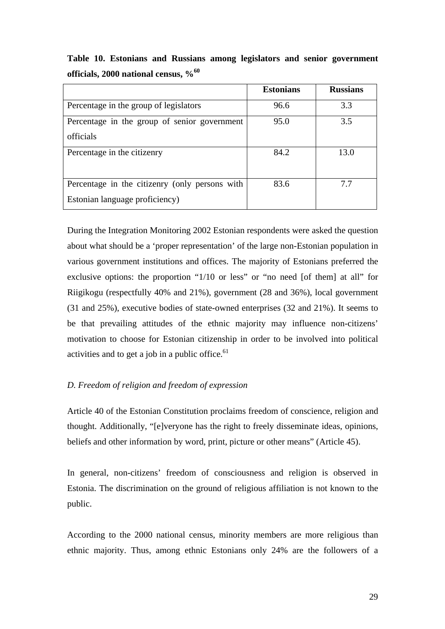<span id="page-28-0"></span>**Table 10. Estonians and Russians among legislators and senior government officials, 2000 national census, [%60](#page-49-48)**

|                                                | <b>Estonians</b> | <b>Russians</b> |
|------------------------------------------------|------------------|-----------------|
| Percentage in the group of legislators         | 96.6             | 3.3             |
| Percentage in the group of senior government   | 95.0             | 3.5             |
| officials                                      |                  |                 |
| Percentage in the citizenry                    | 84.2             | 13.0            |
|                                                |                  |                 |
| Percentage in the citizenry (only persons with | 83.6             | 7.7             |
| Estonian language proficiency)                 |                  |                 |

During the Integration Monitoring 2002 Estonian respondents were asked the question about what should be a 'proper representation' of the large non-Estonian population in various government institutions and offices. The majority of Estonians preferred the exclusive options: the proportion "1/10 or less" or "no need [of them] at all" for Riigikogu (respectfully 40% and 21%), government (28 and 36%), local government (31 and 25%), executive bodies of state-owned enterprises (32 and 21%). It seems to be that prevailing attitudes of the ethnic majority may influence non-citizens' motivation to choose for Estonian citizenship in order to be involved into political activities and to get a job in a public office. $61$ 

## *D. Freedom of religion and freedom of expression*

Article 40 of the Estonian Constitution proclaims freedom of conscience, religion and thought. Additionally, "[e]veryone has the right to freely disseminate ideas, opinions, beliefs and other information by word, print, picture or other means" (Article 45).

In general, non-citizens' freedom of consciousness and religion is observed in Estonia. The discrimination on the ground of religious affiliation is not known to the public.

According to the 2000 national census, minority members are more religious than ethnic majority. Thus, among ethnic Estonians only 24% are the followers of a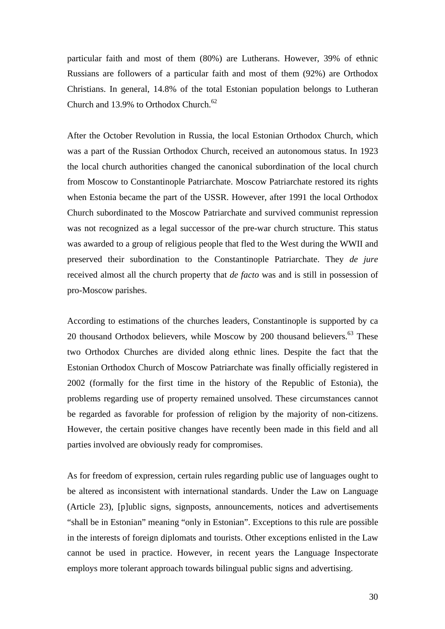particular faith and most of them (80%) are Lutherans. However, 39% of ethnic Russians are followers of a particular faith and most of them (92%) are Orthodox Christians. In general, 14.8% of the total Estonian population belongs to Lutheran Church and 13.9% to Orthodox Church.<sup>[62](#page-49-28)</sup>

After the October Revolution in Russia, the local Estonian Orthodox Church, which was a part of the Russian Orthodox Church, received an autonomous status. In 1923 the local church authorities changed the canonical subordination of the local church from Moscow to Constantinople Patriarchate. Moscow Patriarchate restored its rights when Estonia became the part of the USSR. However, after 1991 the local Orthodox Church subordinated to the Moscow Patriarchate and survived communist repression was not recognized as a legal successor of the pre-war church structure. This status was awarded to a group of religious people that fled to the West during the WWII and preserved their subordination to the Constantinople Patriarchate. They *de jure* received almost all the church property that *de facto* was and is still in possession of pro-Moscow parishes.

According to estimations of the churches leaders, Constantinople is supported by ca 20 thousand Orthodox believers, while Moscow by 200 thousand believers.<sup>63</sup> These two Orthodox Churches are divided along ethnic lines. Despite the fact that the Estonian Orthodox Church of Moscow Patriarchate was finally officially registered in 2002 (formally for the first time in the history of the Republic of Estonia), the problems regarding use of property remained unsolved. These circumstances cannot be regarded as favorable for profession of religion by the majority of non-citizens. However, the certain positive changes have recently been made in this field and all parties involved are obviously ready for compromises.

As for freedom of expression, certain rules regarding public use of languages ought to be altered as inconsistent with international standards. Under the Law on Language (Article 23), [p]ublic signs, signposts, announcements, notices and advertisements "shall be in Estonian" meaning "only in Estonian". Exceptions to this rule are possible in the interests of foreign diplomats and tourists. Other exceptions enlisted in the Law cannot be used in practice. However, in recent years the Language Inspectorate employs more tolerant approach towards bilingual public signs and advertising.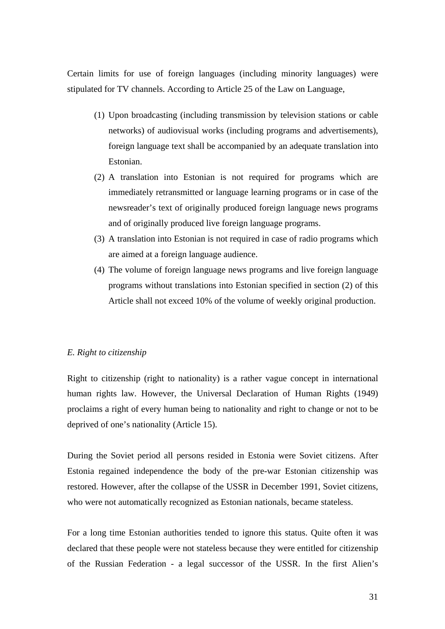<span id="page-30-0"></span>Certain limits for use of foreign languages (including minority languages) were stipulated for TV channels. According to Article 25 of the Law on Language,

- (1) Upon broadcasting (including transmission by television stations or cable networks) of audiovisual works (including programs and advertisements), foreign language text shall be accompanied by an adequate translation into Estonian.
- (2) A translation into Estonian is not required for programs which are immediately retransmitted or language learning programs or in case of the newsreader's text of originally produced foreign language news programs and of originally produced live foreign language programs.
- (3) A translation into Estonian is not required in case of radio programs which are aimed at a foreign language audience.
- (4) The volume of foreign language news programs and live foreign language programs without translations into Estonian specified in section (2) of this Article shall not exceed 10% of the volume of weekly original production.

#### *E. Right to citizenship*

Right to citizenship (right to nationality) is a rather vague concept in international human rights law. However, the Universal Declaration of Human Rights (1949) proclaims a right of every human being to nationality and right to change or not to be deprived of one's nationality (Article 15).

During the Soviet period all persons resided in Estonia were Soviet citizens. After Estonia regained independence the body of the pre-war Estonian citizenship was restored. However, after the collapse of the USSR in December 1991, Soviet citizens, who were not automatically recognized as Estonian nationals, became stateless.

For a long time Estonian authorities tended to ignore this status. Quite often it was declared that these people were not stateless because they were entitled for citizenship of the Russian Federation - a legal successor of the USSR. In the first Alien's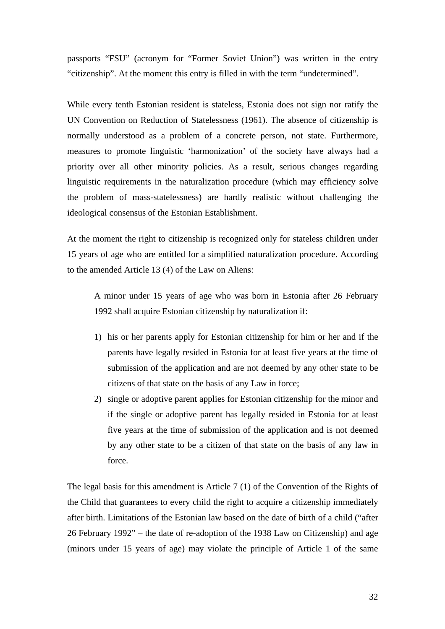passports "FSU" (acronym for "Former Soviet Union") was written in the entry "citizenship". At the moment this entry is filled in with the term "undetermined".

While every tenth Estonian resident is stateless, Estonia does not sign nor ratify the UN Convention on Reduction of Statelessness (1961). The absence of citizenship is normally understood as a problem of a concrete person, not state. Furthermore, measures to promote linguistic 'harmonization' of the society have always had a priority over all other minority policies. As a result, serious changes regarding linguistic requirements in the naturalization procedure (which may efficiency solve the problem of mass-statelessness) are hardly realistic without challenging the ideological consensus of the Estonian Establishment.

At the moment the right to citizenship is recognized only for stateless children under 15 years of age who are entitled for a simplified naturalization procedure. According to the amended Article 13 (4) of the Law on Aliens:

A minor under 15 years of age who was born in Estonia after 26 February 1992 shall acquire Estonian citizenship by naturalization if:

- 1) his or her parents apply for Estonian citizenship for him or her and if the parents have legally resided in Estonia for at least five years at the time of submission of the application and are not deemed by any other state to be citizens of that state on the basis of any Law in force;
- 2) single or adoptive parent applies for Estonian citizenship for the minor and if the single or adoptive parent has legally resided in Estonia for at least five years at the time of submission of the application and is not deemed by any other state to be a citizen of that state on the basis of any law in force.

The legal basis for this amendment is Article 7 (1) of the Convention of the Rights of the Child that guarantees to every child the right to acquire a citizenship immediately after birth. Limitations of the Estonian law based on the date of birth of a child ("after 26 February 1992" – the date of re-adoption of the 1938 Law on Citizenship) and age (minors under 15 years of age) may violate the principle of Article 1 of the same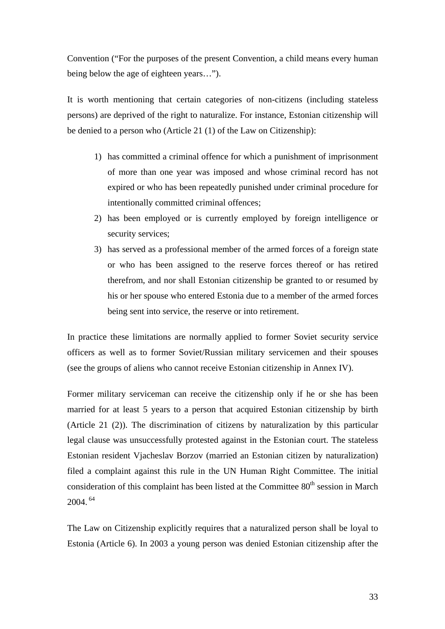Convention ("For the purposes of the present Convention, a child means every human being below the age of eighteen years…").

It is worth mentioning that certain categories of non-citizens (including stateless persons) are deprived of the right to naturalize. For instance, Estonian citizenship will be denied to a person who (Article 21 (1) of the Law on Citizenship):

- 1) has committed a criminal offence for which a punishment of imprisonment of more than one year was imposed and whose criminal record has not expired or who has been repeatedly punished under criminal procedure for intentionally committed criminal offences;
- 2) has been employed or is currently employed by foreign intelligence or security services;
- 3) has served as a professional member of the armed forces of a foreign state or who has been assigned to the reserve forces thereof or has retired therefrom, and nor shall Estonian citizenship be granted to or resumed by his or her spouse who entered Estonia due to a member of the armed forces being sent into service, the reserve or into retirement.

In practice these limitations are normally applied to former Soviet security service officers as well as to former Soviet/Russian military servicemen and their spouses (see the groups of aliens who cannot receive Estonian citizenship in Annex IV).

Former military serviceman can receive the citizenship only if he or she has been married for at least 5 years to a person that acquired Estonian citizenship by birth (Article 21 (2)). The discrimination of citizens by naturalization by this particular legal clause was unsuccessfully protested against in the Estonian court. The stateless Estonian resident Vjacheslav Borzov (married an Estonian citizen by naturalization) filed a complaint against this rule in the UN Human Right Committee. The initial consideration of this complaint has been listed at the Committee  $80<sup>th</sup>$  session in March 2004. [64](#page-49-49)

The Law on Citizenship explicitly requires that a naturalized person shall be loyal to Estonia (Article 6). In 2003 a young person was denied Estonian citizenship after the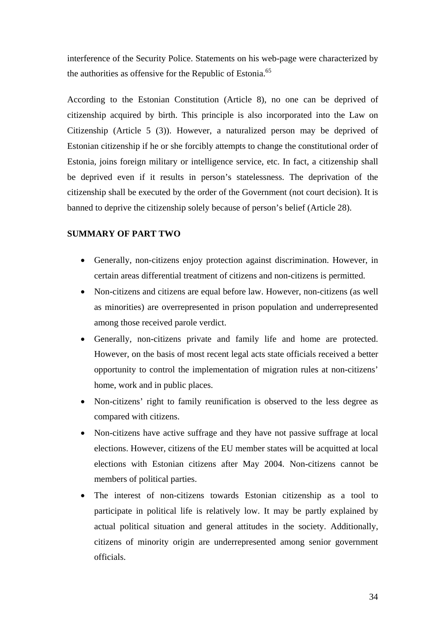<span id="page-33-0"></span>interference of the Security Police. Statements on his web-page were characterized by the authorities as offensive for the Republic of Estonia.<sup>[65](#page-49-34)</sup>

According to the Estonian Constitution (Article 8), no one can be deprived of citizenship acquired by birth. This principle is also incorporated into the Law on Citizenship (Article 5 (3)). However, a naturalized person may be deprived of Estonian citizenship if he or she forcibly attempts to change the constitutional order of Estonia, joins foreign military or intelligence service, etc. In fact, a citizenship shall be deprived even if it results in person's statelessness. The deprivation of the citizenship shall be executed by the order of the Government (not court decision). It is banned to deprive the citizenship solely because of person's belief (Article 28).

## **SUMMARY OF PART TWO**

- Generally, non-citizens enjoy protection against discrimination. However, in certain areas differential treatment of citizens and non-citizens is permitted.
- Non-citizens and citizens are equal before law. However, non-citizens (as well as minorities) are overrepresented in prison population and underrepresented among those received parole verdict.
- Generally, non-citizens private and family life and home are protected. However, on the basis of most recent legal acts state officials received a better opportunity to control the implementation of migration rules at non-citizens' home, work and in public places.
- Non-citizens' right to family reunification is observed to the less degree as compared with citizens.
- Non-citizens have active suffrage and they have not passive suffrage at local elections. However, citizens of the EU member states will be acquitted at local elections with Estonian citizens after May 2004. Non-citizens cannot be members of political parties.
- The interest of non-citizens towards Estonian citizenship as a tool to participate in political life is relatively low. It may be partly explained by actual political situation and general attitudes in the society. Additionally, citizens of minority origin are underrepresented among senior government officials.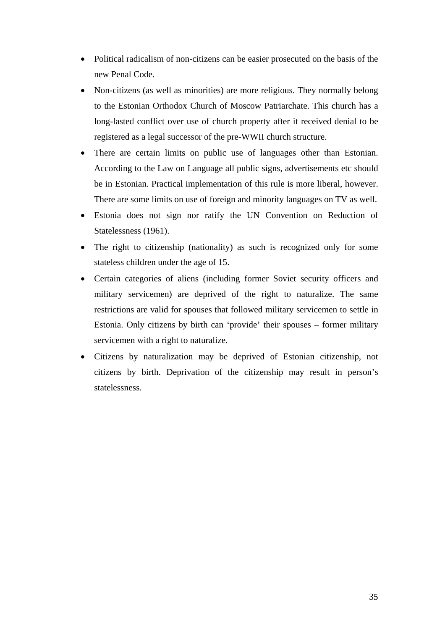- Political radicalism of non-citizens can be easier prosecuted on the basis of the new Penal Code.
- Non-citizens (as well as minorities) are more religious. They normally belong to the Estonian Orthodox Church of Moscow Patriarchate. This church has a long-lasted conflict over use of church property after it received denial to be registered as a legal successor of the pre-WWII church structure.
- There are certain limits on public use of languages other than Estonian. According to the Law on Language all public signs, advertisements etc should be in Estonian. Practical implementation of this rule is more liberal, however. There are some limits on use of foreign and minority languages on TV as well.
- Estonia does not sign nor ratify the UN Convention on Reduction of Statelessness (1961).
- The right to citizenship (nationality) as such is recognized only for some stateless children under the age of 15.
- Certain categories of aliens (including former Soviet security officers and military servicemen) are deprived of the right to naturalize. The same restrictions are valid for spouses that followed military servicemen to settle in Estonia. Only citizens by birth can 'provide' their spouses – former military servicemen with a right to naturalize.
- Citizens by naturalization may be deprived of Estonian citizenship, not citizens by birth. Deprivation of the citizenship may result in person's statelessness.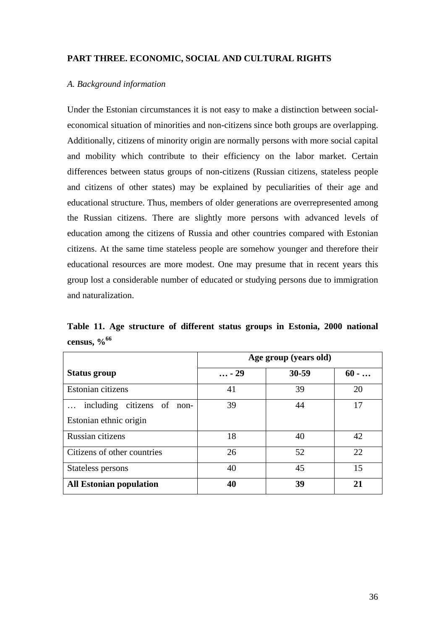## <span id="page-35-0"></span>**PART THREE. ECONOMIC, SOCIAL AND CULTURAL RIGHTS**

#### *A. Background information*

Under the Estonian circumstances it is not easy to make a distinction between socialeconomical situation of minorities and non-citizens since both groups are overlapping. Additionally, citizens of minority origin are normally persons with more social capital and mobility which contribute to their efficiency on the labor market. Certain differences between status groups of non-citizens (Russian citizens, stateless people and citizens of other states) may be explained by peculiarities of their age and educational structure. Thus, members of older generations are overrepresented among the Russian citizens. There are slightly more persons with advanced levels of education among the citizens of Russia and other countries compared with Estonian citizens. At the same time stateless people are somehow younger and therefore their educational resources are more modest. One may presume that in recent years this group lost a considerable number of educated or studying persons due to immigration and naturalization.

**Table 11. Age structure of different status groups in Estonia, 2000 national census, [%66](#page-49-35)**

|                                | Age group (years old) |           |         |  |  |
|--------------------------------|-----------------------|-----------|---------|--|--|
| Status group                   | $ - 29$               | $30 - 59$ | $60 - $ |  |  |
| Estonian citizens              | 41                    | 39        | 20      |  |  |
| including citizens of non-     | 39                    | 44        | 17      |  |  |
| Estonian ethnic origin         |                       |           |         |  |  |
| Russian citizens               | 18                    | 40        | 42      |  |  |
| Citizens of other countries    | 26                    | 52        | 22      |  |  |
| Stateless persons              | 40                    | 45        | 15      |  |  |
| <b>All Estonian population</b> | 40                    | 39        | 21      |  |  |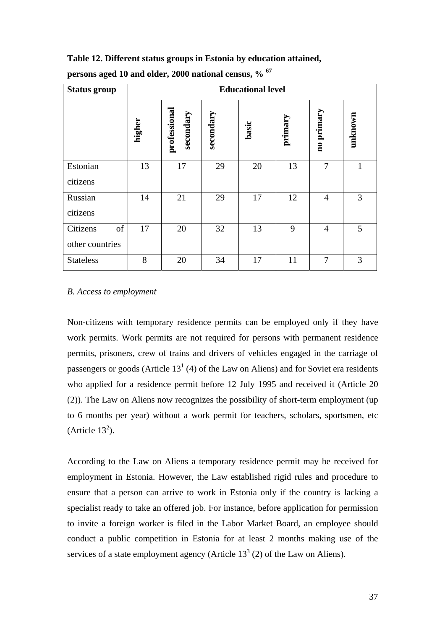**Table 12. Different status groups in Estonia by education attained,** 

| <b>Status group</b> | <b>Educational level</b> |                           |           |       |         |                |         |
|---------------------|--------------------------|---------------------------|-----------|-------|---------|----------------|---------|
|                     | higher                   | professional<br>secondary | secondary | basic | primary | no primary     | unknown |
| Estonian            | 13                       | 17                        | 29        | 20    | 13      | $\overline{7}$ | 1       |
| citizens            |                          |                           |           |       |         |                |         |
| Russian             | 14                       | 21                        | 29        | 17    | 12      | $\overline{4}$ | 3       |
| citizens            |                          |                           |           |       |         |                |         |
| Citizens<br>of      | 17                       | 20                        | 32        | 13    | 9       | $\overline{4}$ | 5       |
| other countries     |                          |                           |           |       |         |                |         |
| <b>Stateless</b>    | 8                        | 20                        | 34        | 17    | 11      | $\overline{7}$ | 3       |

**persons aged 10 and older, 2000 national census, % [67](#page-49-36)**

### *B. Access to employment*

Non-citizens with temporary residence permits can be employed only if they have work permits. Work permits are not required for persons with permanent residence permits, prisoners, crew of trains and drivers of vehicles engaged in the carriage of passengers or goods (Article  $13<sup>1</sup>$  (4) of the Law on Aliens) and for Soviet era residents who applied for a residence permit before 12 July 1995 and received it (Article 20 (2)). The Law on Aliens now recognizes the possibility of short-term employment (up to 6 months per year) without a work permit for teachers, scholars, sportsmen, etc (Article  $13^2$ ).

According to the Law on Aliens a temporary residence permit may be received for employment in Estonia. However, the Law established rigid rules and procedure to ensure that a person can arrive to work in Estonia only if the country is lacking a specialist ready to take an offered job. For instance, before application for permission to invite a foreign worker is filed in the Labor Market Board, an employee should conduct a public competition in Estonia for at least 2 months making use of the services of a state employment agency (Article  $13<sup>3</sup>$  (2) of the Law on Aliens).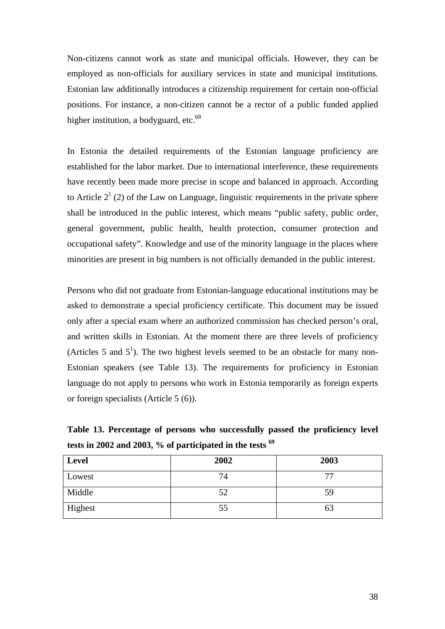Non-citizens cannot work as state and municipal officials. However, they can be employed as non-officials for auxiliary services in state and municipal institutions. Estonian law additionally introduces a citizenship requirement for certain non-official positions. For instance, a non-citizen cannot be a rector of a public funded applied higher institution, a bodyguard, etc.<sup>[68](#page-49-50)</sup>

In Estonia the detailed requirements of the Estonian language proficiency are established for the labor market. Due to international interference, these requirements have recently been made more precise in scope and balanced in approach. According to Article  $2<sup>1</sup>$  (2) of the Law on Language, linguistic requirements in the private sphere shall be introduced in the public interest, which means "public safety, public order, general government, public health, health protection, consumer protection and occupational safety". Knowledge and use of the minority language in the places where minorities are present in big numbers is not officially demanded in the public interest.

Persons who did not graduate from Estonian-language educational institutions may be asked to demonstrate a special proficiency certificate. This document may be issued only after a special exam where an authorized commission has checked person's oral, and written skills in Estonian. At the moment there are three levels of proficiency (Articles 5 and  $5^1$ ). The two highest levels seemed to be an obstacle for many non-Estonian speakers (see Table 13). The requirements for proficiency in Estonian language do not apply to persons who work in Estonia temporarily as foreign experts or foreign specialists (Article 5 (6)).

**Table 13. Percentage of persons who successfully passed the proficiency level tests in 2002 and 2003, % of participated in the tests [69](#page-49-10)**

| <b>Level</b> | 2002 | 2003 |
|--------------|------|------|
| Lowest       | 74   | 77   |
| Middle       | 52   | 59   |
| Highest      | 55   | 63   |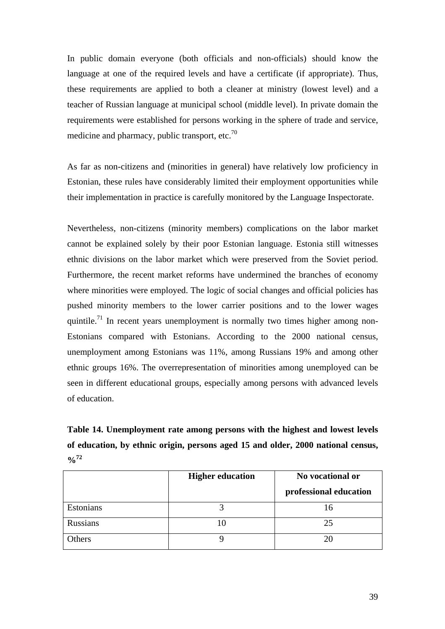In public domain everyone (both officials and non-officials) should know the language at one of the required levels and have a certificate (if appropriate). Thus, these requirements are applied to both a cleaner at ministry (lowest level) and a teacher of Russian language at municipal school (middle level). In private domain the requirements were established for persons working in the sphere of trade and service, medicine and pharmacy, public transport, etc.<sup>70</sup>

As far as non-citizens and (minorities in general) have relatively low proficiency in Estonian, these rules have considerably limited their employment opportunities while their implementation in practice is carefully monitored by the Language Inspectorate.

Nevertheless, non-citizens (minority members) complications on the labor market cannot be explained solely by their poor Estonian language. Estonia still witnesses ethnic divisions on the labor market which were preserved from the Soviet period. Furthermore, the recent market reforms have undermined the branches of economy where minorities were employed. The logic of social changes and official policies has pushed minority members to the lower carrier positions and to the lower wages quintile.<sup>71</sup> In recent years unemployment is normally two times higher among non-Estonians compared with Estonians. According to the 2000 national census, unemployment among Estonians was 11%, among Russians 19% and among other ethnic groups 16%. The overrepresentation of minorities among unemployed can be seen in different educational groups, especially among persons with advanced levels of education.

**Table 14. Unemployment rate among persons with the highest and lowest levels of education, by ethnic origin, persons aged 15 and older, 2000 national census, %[72](#page-49-38)**

|                 | <b>Higher education</b> | No vocational or       |
|-----------------|-------------------------|------------------------|
|                 |                         | professional education |
| Estonians       |                         | Iб                     |
| <b>Russians</b> |                         | 25                     |
| Others          |                         | 20                     |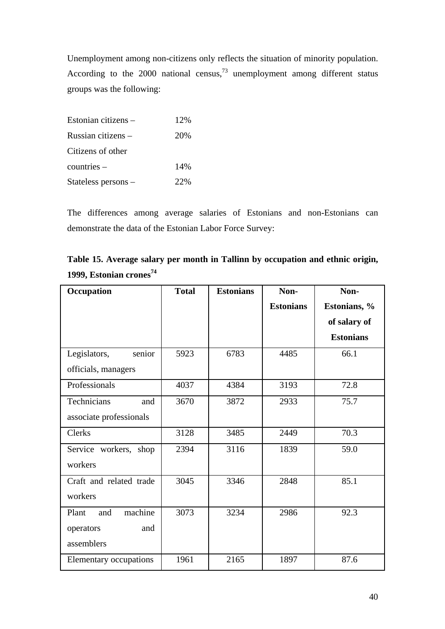Unemployment among non-citizens only reflects the situation of minority population. According to the 2000 national census, $73$  unemployment among different status groups was the following:

| Estonian citizens – | 12% |
|---------------------|-----|
| Russian citizens –  | 20% |
| Citizens of other   |     |
| $countries -$       | 14% |
| Stateless persons - | 22% |

The differences among average salaries of Estonians and non-Estonians can demonstrate the data of the Estonian Labor Force Survey:

| Table 15. Average salary per month in Tallinn by occupation and ethnic origin, |
|--------------------------------------------------------------------------------|
| 1999, Estonian crones <sup>74</sup>                                            |

| Occupation              | <b>Total</b> | <b>Estonians</b> | Non-             | Non-             |
|-------------------------|--------------|------------------|------------------|------------------|
|                         |              |                  | <b>Estonians</b> | Estonians, %     |
|                         |              |                  |                  | of salary of     |
|                         |              |                  |                  | <b>Estonians</b> |
| Legislators,<br>senior  | 5923         | 6783             | 4485             | 66.1             |
| officials, managers     |              |                  |                  |                  |
| Professionals           | 4037         | 4384             | 3193             | 72.8             |
| Technicians<br>and      | 3670         | 3872             | 2933             | 75.7             |
| associate professionals |              |                  |                  |                  |
| <b>Clerks</b>           | 3128         | 3485             | 2449             | 70.3             |
| Service workers, shop   | 2394         | 3116             | 1839             | 59.0             |
| workers                 |              |                  |                  |                  |
| Craft and related trade | 3045         | 3346             | 2848             | 85.1             |
| workers                 |              |                  |                  |                  |
| machine<br>Plant<br>and | 3073         | 3234             | 2986             | 92.3             |
| and<br>operators        |              |                  |                  |                  |
| assemblers              |              |                  |                  |                  |
| Elementary occupations  | 1961         | 2165             | 1897             | 87.6             |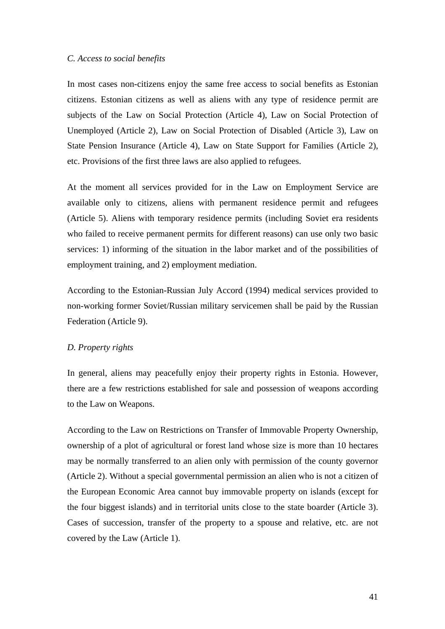#### <span id="page-40-0"></span>*C. Access to social benefits*

In most cases non-citizens enjoy the same free access to social benefits as Estonian citizens. Estonian citizens as well as aliens with any type of residence permit are subjects of the Law on Social Protection (Article 4), Law on Social Protection of Unemployed (Article 2), Law on Social Protection of Disabled (Article 3), Law on State Pension Insurance (Article 4), Law on State Support for Families (Article 2), etc. Provisions of the first three laws are also applied to refugees.

At the moment all services provided for in the Law on Employment Service are available only to citizens, aliens with permanent residence permit and refugees (Article 5). Aliens with temporary residence permits (including Soviet era residents who failed to receive permanent permits for different reasons) can use only two basic services: 1) informing of the situation in the labor market and of the possibilities of employment training, and 2) employment mediation.

According to the Estonian-Russian July Accord (1994) medical services provided to non-working former Soviet/Russian military servicemen shall be paid by the Russian Federation (Article 9).

## *D. Property rights*

In general, aliens may peacefully enjoy their property rights in Estonia. However, there are a few restrictions established for sale and possession of weapons according to the Law on Weapons.

According to the Law on Restrictions on Transfer of Immovable Property Ownership, ownership of a plot of agricultural or forest land whose size is more than 10 hectares may be normally transferred to an alien only with permission of the county governor (Article 2). Without a special governmental permission an alien who is not a citizen of the European Economic Area cannot buy immovable property on islands (except for the four biggest islands) and in territorial units close to the state boarder (Article 3). Cases of succession, transfer of the property to a spouse and relative, etc. are not covered by the Law (Article 1).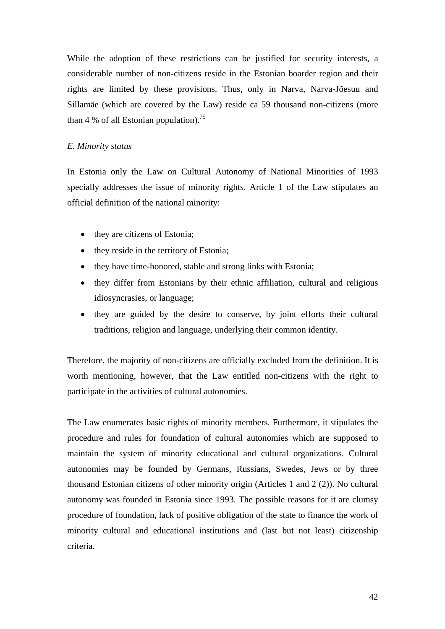<span id="page-41-0"></span>While the adoption of these restrictions can be justified for security interests, a considerable number of non-citizens reside in the Estonian boarder region and their rights are limited by these provisions. Thus, only in Narva, Narva-Jõesuu and Sillamäe (which are covered by the Law) reside ca 59 thousand non-citizens (more than 4 % of all Estonian population).<sup>[75](#page-49-21)</sup>

## *E. Minority status*

In Estonia only the Law on Cultural Autonomy of National Minorities of 1993 specially addresses the issue of minority rights. Article 1 of the Law stipulates an official definition of the national minority:

- they are citizens of Estonia;
- they reside in the territory of Estonia;
- they have time-honored, stable and strong links with Estonia;
- they differ from Estonians by their ethnic affiliation, cultural and religious idiosyncrasies, or language;
- they are guided by the desire to conserve, by joint efforts their cultural traditions, religion and language, underlying their common identity.

Therefore, the majority of non-citizens are officially excluded from the definition. It is worth mentioning, however, that the Law entitled non-citizens with the right to participate in the activities of cultural autonomies.

The Law enumerates basic rights of minority members. Furthermore, it stipulates the procedure and rules for foundation of cultural autonomies which are supposed to maintain the system of minority educational and cultural organizations. Cultural autonomies may be founded by Germans, Russians, Swedes, Jews or by three thousand Estonian citizens of other minority origin (Articles 1 and 2 (2)). No cultural autonomy was founded in Estonia since 1993. The possible reasons for it are clumsy procedure of foundation, lack of positive obligation of the state to finance the work of minority cultural and educational institutions and (last but not least) citizenship criteria.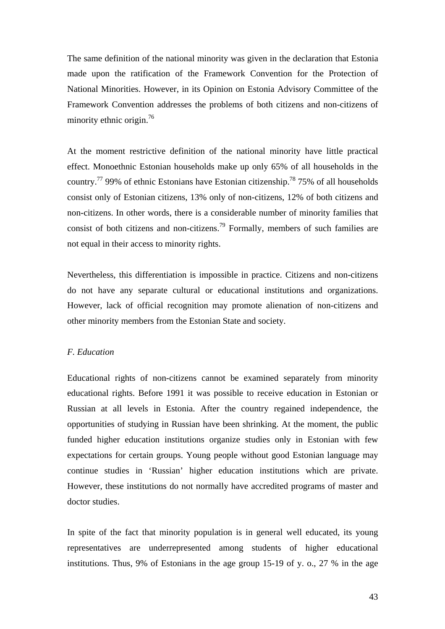<span id="page-42-0"></span>The same definition of the national minority was given in the declaration that Estonia made upon the ratification of the Framework Convention for the Protection of National Minorities. However, in its Opinion on Estonia Advisory Committee of the Framework Convention addresses the problems of both citizens and non-citizens of minority ethnic origin.<sup>76</sup>

At the moment restrictive definition of the national minority have little practical effect. Monoethnic Estonian households make up only 65% of all households in the country.<sup>77</sup> 99% of ethnic Estonians have Estonian citizenship.<sup>78</sup> 75% of all households consist only of Estonian citizens, 13% only of non-citizens, 12% of both citizens and non-citizens. In other words, there is a considerable number of minority families that consist of both citizens and non-citizens.<sup>79</sup> Formally, members of such families are not equal in their access to minority rights.

Nevertheless, this differentiation is impossible in practice. Citizens and non-citizens do not have any separate cultural or educational institutions and organizations. However, lack of official recognition may promote alienation of non-citizens and other minority members from the Estonian State and society.

#### *F. Education*

Educational rights of non-citizens cannot be examined separately from minority educational rights. Before 1991 it was possible to receive education in Estonian or Russian at all levels in Estonia. After the country regained independence, the opportunities of studying in Russian have been shrinking. At the moment, the public funded higher education institutions organize studies only in Estonian with few expectations for certain groups. Young people without good Estonian language may continue studies in 'Russian' higher education institutions which are private. However, these institutions do not normally have accredited programs of master and doctor studies.

In spite of the fact that minority population is in general well educated, its young representatives are underrepresented among students of higher educational institutions. Thus, 9% of Estonians in the age group 15-19 of y. o., 27 % in the age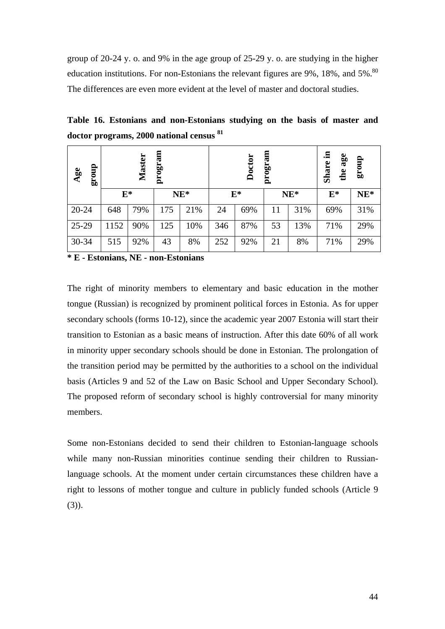group of 20-24 y. o. and 9% in the age group of 25-29 y. o. are studying in the higher education institutions. For non-Estonians the relevant figures are  $9\%$ ,  $18\%$ , and  $5\%$ .<sup>80</sup> The differences are even more evident at the level of master and doctoral studies.

**Table 16. Estonians and non-Estonians studying on the basis of master and doctor programs, 2000 national census [81](#page-49-44)**

| dno.18<br>Age |       | <b>Master</b> | am<br>progr: |        |     | Doctor | program |        | 르.<br>age<br><b>Share</b><br>the | dno.18 |
|---------------|-------|---------------|--------------|--------|-----|--------|---------|--------|----------------------------------|--------|
|               | $E^*$ |               |              | $NE^*$ |     | $E^*$  |         | $NE^*$ | $\mathbf{E}^*$                   | $NE^*$ |
| $20 - 24$     | 648   | 79%           | 175          | 21%    | 24  | 69%    | 11      | 31%    | 69%                              | 31%    |
| $25-29$       | 1152  | 90%           | 125          | 10%    | 346 | 87%    | 53      | 13%    | 71%                              | 29%    |
| $30 - 34$     | 515   | 92%           | 43           | 8%     | 252 | 92%    | 21      | 8%     | 71%                              | 29%    |

**\* E - Estonians, NE - non-Estonians** 

The right of minority members to elementary and basic education in the mother tongue (Russian) is recognized by prominent political forces in Estonia. As for upper secondary schools (forms 10-12), since the academic year 2007 Estonia will start their transition to Estonian as a basic means of instruction. After this date 60% of all work in minority upper secondary schools should be done in Estonian. The prolongation of the transition period may be permitted by the authorities to a school on the individual basis (Articles 9 and 52 of the Law on Basic School and Upper Secondary School). The proposed reform of secondary school is highly controversial for many minority members.

Some non-Estonians decided to send their children to Estonian-language schools while many non-Russian minorities continue sending their children to Russianlanguage schools. At the moment under certain circumstances these children have a right to lessons of mother tongue and culture in publicly funded schools (Article 9 (3)).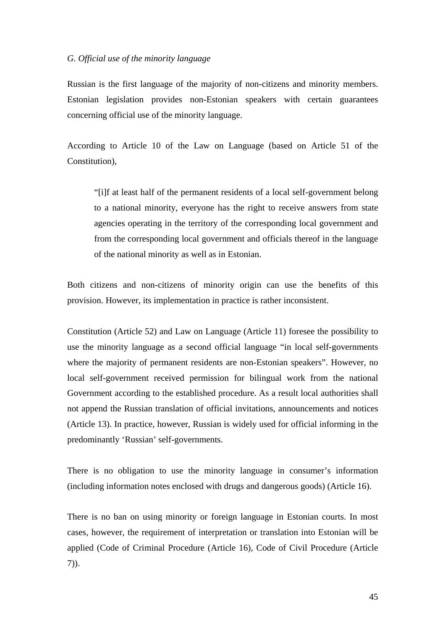#### <span id="page-44-0"></span>*G. Official use of the minority language*

Russian is the first language of the majority of non-citizens and minority members. Estonian legislation provides non-Estonian speakers with certain guarantees concerning official use of the minority language.

According to Article 10 of the Law on Language (based on Article 51 of the Constitution),

"[i]f at least half of the permanent residents of a local self-government belong to a national minority, everyone has the right to receive answers from state agencies operating in the territory of the corresponding local government and from the corresponding local government and officials thereof in the language of the national minority as well as in Estonian.

Both citizens and non-citizens of minority origin can use the benefits of this provision. However, its implementation in practice is rather inconsistent.

Constitution (Article 52) and Law on Language (Article 11) foresee the possibility to use the minority language as a second official language "in local self-governments where the majority of permanent residents are non-Estonian speakers". However, no local self-government received permission for bilingual work from the national Government according to the established procedure. As a result local authorities shall not append the Russian translation of official invitations, announcements and notices (Article 13). In practice, however, Russian is widely used for official informing in the predominantly 'Russian' self-governments.

There is no obligation to use the minority language in consumer's information (including information notes enclosed with drugs and dangerous goods) (Article 16).

There is no ban on using minority or foreign language in Estonian courts. In most cases, however, the requirement of interpretation or translation into Estonian will be applied (Code of Criminal Procedure (Article 16), Code of Civil Procedure (Article 7)).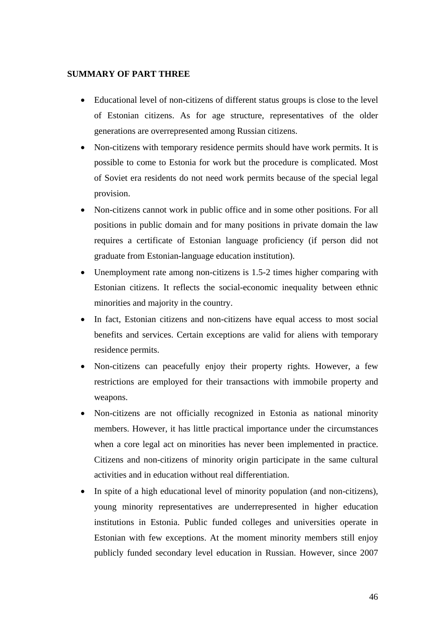## <span id="page-45-0"></span>**SUMMARY OF PART THREE**

- Educational level of non-citizens of different status groups is close to the level of Estonian citizens. As for age structure, representatives of the older generations are overrepresented among Russian citizens.
- Non-citizens with temporary residence permits should have work permits. It is possible to come to Estonia for work but the procedure is complicated. Most of Soviet era residents do not need work permits because of the special legal provision.
- Non-citizens cannot work in public office and in some other positions. For all positions in public domain and for many positions in private domain the law requires a certificate of Estonian language proficiency (if person did not graduate from Estonian-language education institution).
- Unemployment rate among non-citizens is 1.5-2 times higher comparing with Estonian citizens. It reflects the social-economic inequality between ethnic minorities and majority in the country.
- In fact, Estonian citizens and non-citizens have equal access to most social benefits and services. Certain exceptions are valid for aliens with temporary residence permits.
- Non-citizens can peacefully enjoy their property rights. However, a few restrictions are employed for their transactions with immobile property and weapons.
- Non-citizens are not officially recognized in Estonia as national minority members. However, it has little practical importance under the circumstances when a core legal act on minorities has never been implemented in practice. Citizens and non-citizens of minority origin participate in the same cultural activities and in education without real differentiation.
- In spite of a high educational level of minority population (and non-citizens), young minority representatives are underrepresented in higher education institutions in Estonia. Public funded colleges and universities operate in Estonian with few exceptions. At the moment minority members still enjoy publicly funded secondary level education in Russian. However, since 2007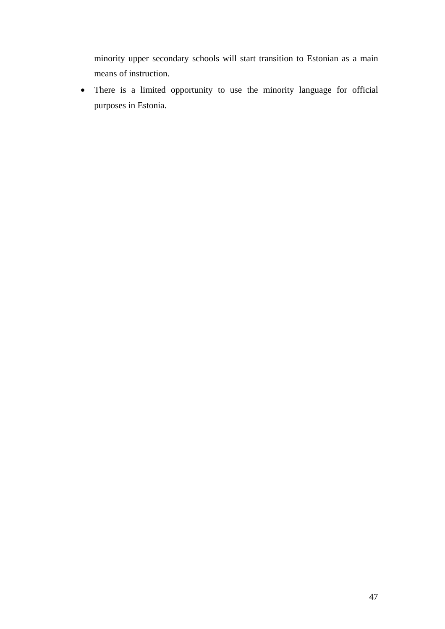minority upper secondary schools will start transition to Estonian as a main means of instruction.

• There is a limited opportunity to use the minority language for official purposes in Estonia.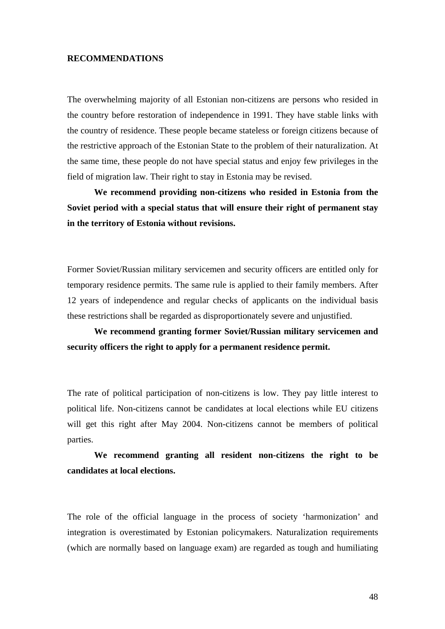## <span id="page-47-0"></span>**RECOMMENDATIONS**

The overwhelming majority of all Estonian non-citizens are persons who resided in the country before restoration of independence in 1991. They have stable links with the country of residence. These people became stateless or foreign citizens because of the restrictive approach of the Estonian State to the problem of their naturalization. At the same time, these people do not have special status and enjoy few privileges in the field of migration law. Their right to stay in Estonia may be revised.

**We recommend providing non-citizens who resided in Estonia from the Soviet period with a special status that will ensure their right of permanent stay in the territory of Estonia without revisions.** 

Former Soviet/Russian military servicemen and security officers are entitled only for temporary residence permits. The same rule is applied to their family members. After 12 years of independence and regular checks of applicants on the individual basis these restrictions shall be regarded as disproportionately severe and unjustified.

**We recommend granting former Soviet/Russian military servicemen and security officers the right to apply for a permanent residence permit.**

The rate of political participation of non-citizens is low. They pay little interest to political life. Non-citizens cannot be candidates at local elections while EU citizens will get this right after May 2004. Non-citizens cannot be members of political parties.

**We recommend granting all resident non-citizens the right to be candidates at local elections.** 

The role of the official language in the process of society 'harmonization' and integration is overestimated by Estonian policymakers. Naturalization requirements (which are normally based on language exam) are regarded as tough and humiliating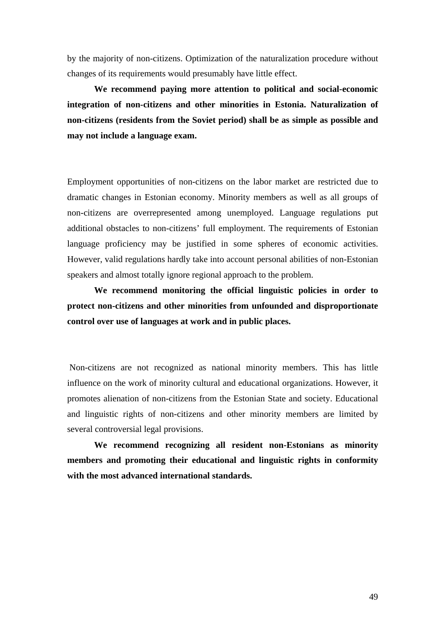by the majority of non-citizens. Optimization of the naturalization procedure without changes of its requirements would presumably have little effect.

**We recommend paying more attention to political and social-economic integration of non-citizens and other minorities in Estonia. Naturalization of non-citizens (residents from the Soviet period) shall be as simple as possible and may not include a language exam.** 

Employment opportunities of non-citizens on the labor market are restricted due to dramatic changes in Estonian economy. Minority members as well as all groups of non-citizens are overrepresented among unemployed. Language regulations put additional obstacles to non-citizens' full employment. The requirements of Estonian language proficiency may be justified in some spheres of economic activities. However, valid regulations hardly take into account personal abilities of non-Estonian speakers and almost totally ignore regional approach to the problem.

**We recommend monitoring the official linguistic policies in order to protect non-citizens and other minorities from unfounded and disproportionate control over use of languages at work and in public places.** 

Non-citizens are not recognized as national minority members. This has little influence on the work of minority cultural and educational organizations. However, it promotes alienation of non-citizens from the Estonian State and society. Educational and linguistic rights of non-citizens and other minority members are limited by several controversial legal provisions.

**We recommend recognizing all resident non-Estonians as minority members and promoting their educational and linguistic rights in conformity with the most advanced international standards.**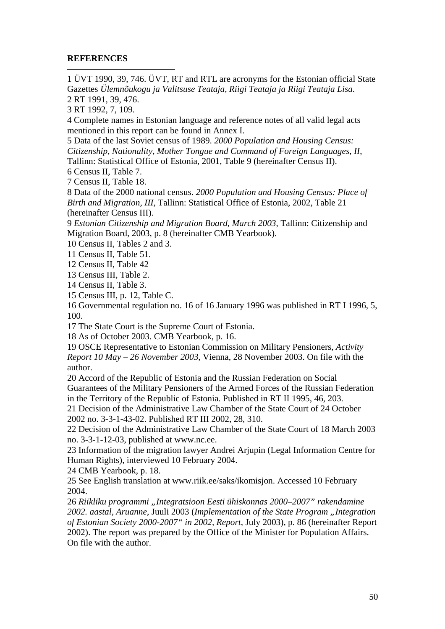## **REFERENCES**

<span id="page-49-26"></span> $\overline{a}$ 

<span id="page-49-48"></span><span id="page-49-0"></span>1 ÜVT 1990, 39, 746. ÜVT, RT and RTL are acronyms for the Estonian official State Gazettes *Ülemnõukogu ja Valitsuse Teataja, Riigi Teataja ja Riigi Teataja Lisa*. 2 RT 1991, 39, 476.

<span id="page-49-28"></span><span id="page-49-27"></span><span id="page-49-2"></span><span id="page-49-1"></span>3 RT 1992, 7, 109.

<span id="page-49-29"></span><span id="page-49-3"></span>4 Complete names in Estonian language and reference notes of all valid legal acts mentioned in this report can be found in Annex I.

<span id="page-49-31"></span><span id="page-49-30"></span><span id="page-49-4"></span>5 Data of the last Soviet census of 1989. *2000 Population and Housing Census: Citizenship, Nationality, Mother Tongue and Command of Foreign Languages, II*, Tallinn: Statistical Office of Estonia, 2001, Table 9 (hereinafter Census II).

<span id="page-49-33"></span><span id="page-49-32"></span><span id="page-49-5"></span>6 Census II, Table 7.

<span id="page-49-49"></span><span id="page-49-6"></span>7 Census II, Table 18.

<span id="page-49-34"></span><span id="page-49-7"></span>8 Data of the 2000 national census. *2000 Population and Housing Census: Place of Birth and Migration, III*, Tallinn: Statistical Office of Estonia, 2002, Table 21 (hereinafter Census III).

<span id="page-49-50"></span><span id="page-49-36"></span><span id="page-49-35"></span><span id="page-49-8"></span>9 *Estonian Citizenship and Migration Board, March 2003*, Tallinn: Citizenship and Migration Board, 2003, p. 8 (hereinafter CMB Yearbook).

<span id="page-49-9"></span>10 Census II, Tables 2 and 3.

<span id="page-49-10"></span>11 Census II, Table 51.

<span id="page-49-11"></span>12 Census II, Table 42

<span id="page-49-12"></span>13 Census III, Table 2.

<span id="page-49-13"></span>14 Census II, Table 3.

<span id="page-49-14"></span>15 Census III, p. 12, Table C.

<span id="page-49-37"></span><span id="page-49-15"></span>16 Governmental regulation no. 16 of 16 January 1996 was published in RT I 1996, 5, 100.

<span id="page-49-16"></span>17 The State Court is the Supreme Court of Estonia.

<span id="page-49-17"></span>18 As of October 2003. CMB Yearbook, p. 16.

<span id="page-49-38"></span><span id="page-49-18"></span>19 OSCE Representative to Estonian Commission on Military Pensioners, *Activity Report 10 May – 26 November 2003*, Vienna, 28 November 2003. On file with the author.

<span id="page-49-39"></span><span id="page-49-19"></span>20 Accord of the Republic of Estonia and the Russian Federation on Social Guarantees of the Military Pensioners of the Armed Forces of the Russian Federation in the Territory of the Republic of Estonia. Published in RT II 1995, 46, 203.

<span id="page-49-41"></span><span id="page-49-40"></span><span id="page-49-20"></span>21 Decision of the Administrative Law Chamber of the State Court of 24 October 2002 no. 3-3-1-43-02. Published RT III 2002, 28, 310.

<span id="page-49-42"></span><span id="page-49-21"></span>22 Decision of the Administrative Law Chamber of the State Court of 18 March 2003 no. 3-3-1-12-03, published at www.nc.ee.

<span id="page-49-51"></span><span id="page-49-22"></span>23 Information of the migration lawyer Andrei Arjupin (Legal Information Centre for Human Rights), interviewed 10 February 2004.

<span id="page-49-23"></span>24 CMB Yearbook, p. 18.

<span id="page-49-43"></span><span id="page-49-24"></span>25 See English translation at [www.riik.ee/saks/ikomisjon.](http://www.riik.ee/saks/ikomisjon) Accessed 10 February 2004.

<span id="page-49-47"></span><span id="page-49-46"></span><span id="page-49-45"></span><span id="page-49-44"></span><span id="page-49-25"></span>26 *Riikliku programmi "Integratsioon Eesti ühiskonnas 2000–2007" rakendamine 2002. aastal, Aruanne*, Juuli 2003 (*Implementation of the State Program "Integration of Estonian Society 2000-2007" in 2002, Report*, July 2003), p. 86 (hereinafter Report 2002). The report was prepared by the Office of the Minister for Population Affairs. On file with the author.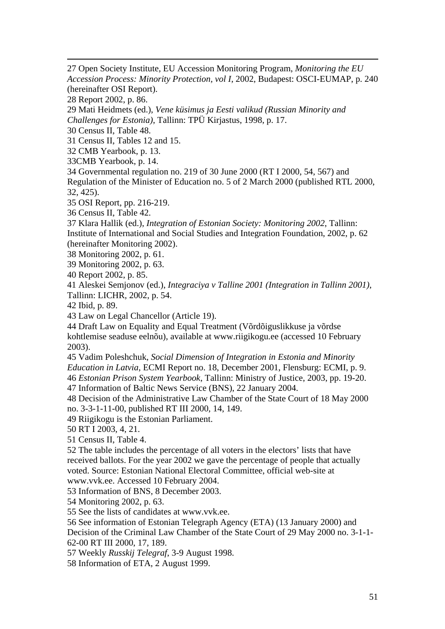27 Open Society Institute, EU Accession Monitoring Program, *Monitoring the EU Accession Process: Minority Protection, vol I*, 2002, Budapest: OSCI-EUMAP, p. 240 (hereinafter OSI Report).

28 Report 2002, p. 86.

1

29 Mati Heidmets (ed.), *Vene küsimus ja Eesti valikud (Russian Minority and Challenges for Estonia)*, Tallinn: TPÜ Kirjastus, 1998, p. 17.

30 Census II, Table 48.

31 Census II, Tables 12 and 15.

32 CMB Yearbook, p. 13.

33CMB Yearbook, p. 14.

34 Governmental regulation no. 219 of 30 June 2000 (RT I 2000, 54, 567) and Regulation of the Minister of Education no. 5 of 2 March 2000 (published RTL 2000, 32, 425).

35 OSI Report, pp. 216-219.

36 Census II, Table 42.

37 Klara Hallik (ed.), *Integration of Estonian Society: Monitoring 2002*, Tallinn: Institute of International and Social Studies and Integration Foundation, 2002, p. 62 (hereinafter Monitoring 2002).

38 Monitoring 2002, p. 61.

39 Monitoring 2002, p. 63.

40 Report 2002, p. 85.

41 Aleskei Semjonov (ed.), *Integraciya v Talline 2001 (Integration in Tallinn 2001)*, Tallinn: LICHR, 2002, p. 54.

42 Ibid, p. 89.

43 Law on Legal Chancellor (Article 19).

44 Draft Law on Equality and Equal Treatment (Võrdõiguslikkuse ja võrdse kohtlemise seaduse eelnõu), available at [www.riigikogu.ee](http://www.riigikogu.ee/) (accessed 10 February 2003).

45 Vadim Poleshchuk, *Social Dimension of Integration in Estonia and Minority Education in Latvia*, ECMI Report no. 18, December 2001, Flensburg: ECMI, p. 9. 46 *Estonian Prison System Yearbook*, Tallinn: Ministry of Justice, 2003, pp. 19-20.

47 Information of Baltic News Service (BNS), 22 January 2004.

48 Decision of the Administrative Law Chamber of the State Court of 18 May 2000 no. 3-3-1-11-00, published RT III 2000, 14, 149.

49 Riigikogu is the Estonian Parliament.

50 RT I 2003, 4, 21.

51 Census II, Table 4.

52 The table includes the percentage of all voters in the electors' lists that have received ballots. For the year 2002 we gave the percentage of people that actually voted. Source: Estonian National Electoral Committee, official web-site at [www.vvk.ee](http://www.vvk.ee/). Accessed 10 February 2004.

53 Information of BNS, 8 December 2003.

54 Monitoring 2002, p. 63.

55 See the lists of candidates at www.vvk.ee.

56 See information of Estonian Telegraph Agency (ETA) (13 January 2000) and

Decision of the Criminal Law Chamber of the State Court of 29 May 2000 no. 3-1-1- 62-00 RT III 2000, 17, 189.

57 Weekly *Russkij Telegraf*, 3-9 August 1998.

58 Information of ETA, 2 August 1999.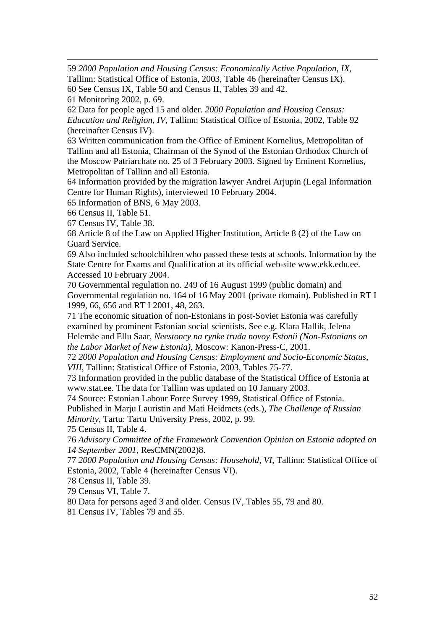59 *2000 Population and Housing Census: Economically Active Population, IX*, Tallinn: Statistical Office of Estonia, 2003, Table 46 (hereinafter Census IX).

60 See Census IX, Table 50 and Census II, Tables 39 and 42.

61 Monitoring 2002, p. 69.

1

62 Data for people aged 15 and older. *2000 Population and Housing Census: Education and Religion, IV*, Tallinn: Statistical Office of Estonia, 2002, Table 92 (hereinafter Census IV).

63 Written communication from the Office of Eminent Kornelius, Metropolitan of Tallinn and all Estonia, Chairman of the Synod of the Estonian Orthodox Church of the Moscow Patriarchate no. 25 of 3 February 2003. Signed by Eminent Kornelius, Metropolitan of Tallinn and all Estonia.

64 Information provided by the migration lawyer Andrei Arjupin (Legal Information Centre for Human Rights), interviewed 10 February 2004.

65 Information of BNS, 6 May 2003.

66 Census II, Table 51.

67 Census IV, Table 38.

68 Article 8 of the Law on Applied Higher Institution, Article 8 (2) of the Law on Guard Service.

69 Also included schoolchildren who passed these tests at schools. Information by the State Centre for Exams and Qualification at its official web-site [www.ekk.edu.ee.](http://www.ekk.edu.ee/) Accessed 10 February 2004.

70 Governmental regulation no. 249 of 16 August 1999 (public domain) and Governmental regulation no. 164 of 16 May 2001 (private domain). Published in RT I 1999, 66, 656 and RT I 2001, 48, 263.

71 The economic situation of non-Estonians in post-Soviet Estonia was carefully examined by prominent Estonian social scientists. See e.g. Klara Hallik, Jelena Helemäe and Ellu Saar, *Neestoncy na rynke truda novoy Estonii (Non-Estonians on the Labor Market of New Estonia)*, Moscow: Kanon-Press-C, 2001.

72 *2000 Population and Housing Census: Employment and Socio-Economic Status, VIII*, Tallinn: Statistical Office of Estonia, 2003, Tables 75-77.

73 Information provided in the public database of the Statistical Office of Estonia at [www.stat.ee](http://www.stat.ee/). The data for Tallinn was updated on 10 January 2003.

74 Source: Estonian Labour Force Survey 1999, Statistical Office of Estonia.

Published in Marju Lauristin and Mati Heidmets (eds.), *The Challenge of Russian Minority*, Tartu: Tartu University Press, 2002, p. 99.

75 Census II, Table 4.

76 *Advisory Committee of the Framework Convention Opinion on Estonia adopted on 14 September 2001*, ResCMN(2002)8.

77 *2000 Population and Housing Census: Household, VI*, Tallinn: Statistical Office of Estonia, 2002, Table 4 (hereinafter Census VI).

78 Census II, Table 39.

79 Census VI, Table 7.

80 Data for persons aged 3 and older. Census IV, Tables 55, 79 and 80.

81 Census IV, Tables 79 and 55.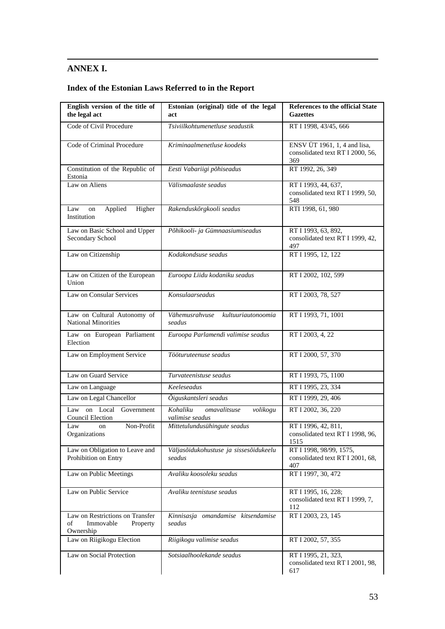## **ANNEX I.**

<span id="page-52-0"></span>1

## **Index of the Estonian Laws Referred to in the Report**

| English version of the title of<br>the legal act                            | Estonian (original) title of the legal<br>act                         | <b>References to the official State</b><br><b>Gazettes</b>              |
|-----------------------------------------------------------------------------|-----------------------------------------------------------------------|-------------------------------------------------------------------------|
| Code of Civil Procedure                                                     | Tsiviilkohtumenetluse seadustik                                       | RT I 1998, 43/45, 666                                                   |
| Code of Criminal Procedure                                                  | Kriminaalmenetluse koodeks                                            | ENSV ÜT 1961, 1, 4 and lisa,<br>consolidated text RT I 2000, 56,<br>369 |
| Constitution of the Republic of<br>Estonia                                  | Eesti Vabariigi põhiseadus                                            | RT 1992, 26, 349                                                        |
| Law on Aliens                                                               | Välismaalaste seadus                                                  | RT I 1993, 44, 637,<br>consolidated text RT I 1999, 50,<br>548          |
| Applied<br>Higher<br>Law<br>on<br>Institution                               | Rakenduskõrgkooli seadus                                              | RTI 1998, 61, 980                                                       |
| Law on Basic School and Upper<br>Secondary School                           | Põhikooli- ja Gümnaasiumiseadus                                       | RT I 1993, 63, 892,<br>consolidated text RT I 1999, 42,<br>497          |
| Law on Citizenship                                                          | Kodakondsuse seadus                                                   | RT I 1995, 12, 122                                                      |
| Law on Citizen of the European<br>Union                                     | Euroopa Liidu kodaniku seadus                                         | RT I 2002, 102, 599                                                     |
| Law on Consular Services                                                    | Konsulaarseadus                                                       | RT I 2003, 78, 527                                                      |
| Law on Cultural Autonomy of<br><b>National Minorities</b>                   | Vähemusrahvuse<br>kultuuriautonoomia<br>seadus                        | RT I 1993, 71, 1001                                                     |
| Law on European Parliament<br>Election                                      | Euroopa Parlamendi valimise seadus                                    | RT I 2003, 4, 22                                                        |
| Law on Employment Service                                                   | Tööturuteenuse seadus                                                 | RT I 2000, 57, 370                                                      |
| Law on Guard Service                                                        | Turvateenistuse seadus                                                | RT I 1993, 75, 1100                                                     |
| Law on Language                                                             | Keeleseadus                                                           | RT I 1995, 23, 334                                                      |
| Law on Legal Chancellor                                                     | Õiguskantsleri seadus                                                 | RT I 1999, 29, 406                                                      |
| Law on Local Government<br><b>Council Election</b>                          | $\overline{K}$ ohaliku<br>omavalitsuse<br>volikogu<br>valimise seadus | RT I 2002, 36, 220                                                      |
| Non-Profit<br>Law<br>on<br>Organizations                                    | Mittetulundusühingute seadus                                          | RT I 1996, 42, 811,<br>consolidated text RT I 1998, 96,<br>1515         |
| Law on Obligation to Leave and<br>Prohibition on Entry                      | Väljasõidukohustuse ja sissesõidukeelu<br>seadus                      | RT I 1998, 98/99, 1575,<br>consolidated text RT I 2001, 68,<br>407      |
| Law on Public Meetings                                                      | Avaliku koosoleku seadus                                              | RT I 1997, 30, 472                                                      |
| Law on Public Service                                                       | Avaliku teenistuse seadus                                             | RT I 1995, 16, 228;<br>consolidated text RT I 1999, 7,<br>112           |
| Law on Restrictions on Transfer<br>Immovable<br>of<br>Property<br>Ownership | Kinnisasja omandamise kitsendamise<br>seadus                          | RT I 2003, 23, 145                                                      |
| Law on Riigikogu Election                                                   | Riigikogu valimise seadus                                             | RT I 2002, 57, 355                                                      |
| Law on Social Protection                                                    | Sotsiaalhoolekande seadus                                             | RT I 1995, 21, 323,<br>consolidated text RT I 2001, 98,<br>617          |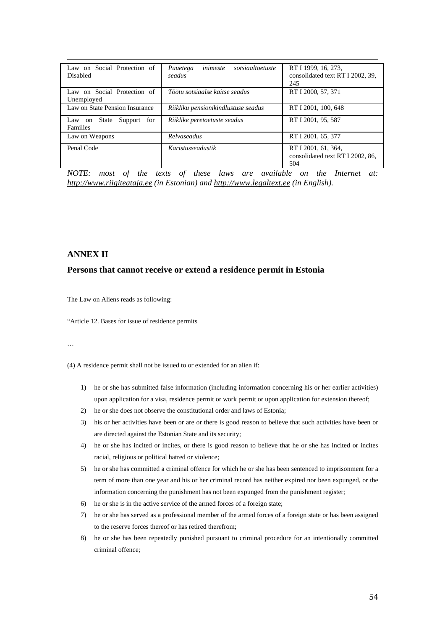| Law on Social Protection of<br><b>Disabled</b>       | inimeste<br>sotsiaaltoetuste<br>Puuetega<br>seadus | RT I 1999, 16, 273.<br>consolidated text RT I 2002, 39,<br>245 |
|------------------------------------------------------|----------------------------------------------------|----------------------------------------------------------------|
| Law on Social Protection of<br>Unemployed            | Töötu sotsiaalse kaitse seadus                     | RT I 2000, 57, 371                                             |
| Law on State Pension Insurance                       | Riikliku pensionikindlustuse seadus                | RT I 2001, 100, 648                                            |
| State<br>Support<br>for<br>Law on<br><b>Families</b> | Riiklike peretoetuste seadus                       | RT I 2001, 95, 587                                             |
| Law on Weapons                                       | Relyaseadus                                        | RT I 2001, 65, 377                                             |
| Penal Code                                           | Karistusseadustik                                  | RT I 2001, 61, 364,<br>consolidated text RT I 2002, 86,<br>504 |

*NOTE: most of the texts of these laws are available on the Internet at: http://www.riigiteataja.ee (in Estonian) and http://www.legaltext.ee (in English).*

#### **ANNEX II**

#### **Persons that cannot receive or extend a residence permit in Estonia**

The Law on Aliens reads as following:

"Article 12. Bases for issue of residence permits

…

(4) A residence permit shall not be issued to or extended for an alien if:

- 1) he or she has submitted false information (including information concerning his or her earlier activities) upon application for a visa, residence permit or work permit or upon application for extension thereof;
- 2) he or she does not observe the constitutional order and laws of Estonia;
- 3) his or her activities have been or are or there is good reason to believe that such activities have been or are directed against the Estonian State and its security;
- 4) he or she has incited or incites, or there is good reason to believe that he or she has incited or incites racial, religious or political hatred or violence;
- 5) he or she has committed a criminal offence for which he or she has been sentenced to imprisonment for a term of more than one year and his or her criminal record has neither expired nor been expunged, or the information concerning the punishment has not been expunged from the punishment register;
- 6) he or she is in the active service of the armed forces of a foreign state;
- 7) he or she has served as a professional member of the armed forces of a foreign state or has been assigned to the reserve forces thereof or has retired therefrom;
- 8) he or she has been repeatedly punished pursuant to criminal procedure for an intentionally committed criminal offence;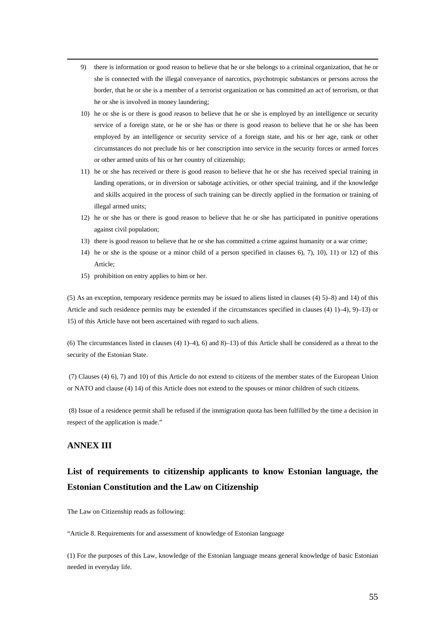- 9) there is information or good reason to believe that he or she belongs to a criminal organization, that he or she is connected with the illegal conveyance of narcotics, psychotropic substances or persons across the border, that he or she is a member of a terrorist organization or has committed an act of terrorism, or that he or she is involved in money laundering;
- 10) he or she is or there is good reason to believe that he or she is employed by an intelligence or security service of a foreign state, or he or she has or there is good reason to believe that he or she has been employed by an intelligence or security service of a foreign state, and his or her age, rank or other circumstances do not preclude his or her conscription into service in the security forces or armed forces or other armed units of his or her country of citizenship;
- 11) he or she has received or there is good reason to believe that he or she has received special training in landing operations, or in diversion or sabotage activities, or other special training, and if the knowledge and skills acquired in the process of such training can be directly applied in the formation or training of illegal armed units;
- 12) he or she has or there is good reason to believe that he or she has participated in punitive operations against civil population;
- 13) there is good reason to believe that he or she has committed a crime against humanity or a war crime;
- 14) he or she is the spouse or a minor child of a person specified in clauses 6), 7), 10), 11) or 12) of this Article;
- 15) prohibition on entry applies to him or her.

(5) As an exception, temporary residence permits may be issued to aliens listed in clauses (4) 5)–8) and 14) of this Article and such residence permits may be extended if the circumstances specified in clauses (4) 1)–4), 9)–13) or 15) of this Article have not been ascertained with regard to such aliens.

(6) The circumstances listed in clauses (4)  $1$ )–4), 6) and 8)–13) of this Article shall be considered as a threat to the security of the Estonian State.

(7) Clauses (4) 6), 7) and 10) of this Article do not extend to citizens of the member states of the European Union or NATO and clause (4) 14) of this Article does not extend to the spouses or minor children of such citizens.

(8) Issue of a residence permit shall be refused if the immigration quota has been fulfilled by the time a decision in respect of the application is made."

## **ANNEX III**

## **List of requirements to citizenship applicants to know Estonian language, the Estonian Constitution and the Law on Citizenship**

The Law on Citizenship reads as following:

"Article 8. Requirements for and assessment of knowledge of Estonian language

(1) For the purposes of this Law, knowledge of the Estonian language means general knowledge of basic Estonian needed in everyday life.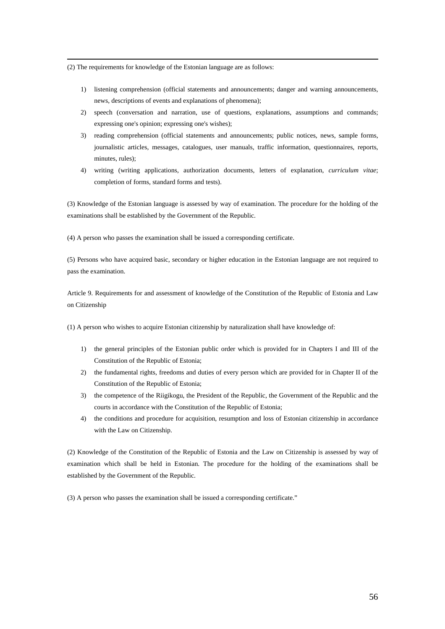(2) The requirements for knowledge of the Estonian language are as follows:

- 1) listening comprehension (official statements and announcements; danger and warning announcements, news, descriptions of events and explanations of phenomena);
- 2) speech (conversation and narration, use of questions, explanations, assumptions and commands; expressing one's opinion; expressing one's wishes);
- 3) reading comprehension (official statements and announcements; public notices, news, sample forms, journalistic articles, messages, catalogues, user manuals, traffic information, questionnaires, reports, minutes, rules);
- 4) writing (writing applications, authorization documents, letters of explanation, *curriculum vitae*; completion of forms, standard forms and tests).

(3) Knowledge of the Estonian language is assessed by way of examination. The procedure for the holding of the examinations shall be established by the Government of the Republic.

(4) A person who passes the examination shall be issued a corresponding certificate.

(5) Persons who have acquired basic, secondary or higher education in the Estonian language are not required to pass the examination.

Article 9. Requirements for and assessment of knowledge of the Constitution of the Republic of Estonia and Law on Citizenship

(1) A person who wishes to acquire Estonian citizenship by naturalization shall have knowledge of:

- 1) the general principles of the Estonian public order which is provided for in Chapters I and III of the Constitution of the Republic of Estonia;
- 2) the fundamental rights, freedoms and duties of every person which are provided for in Chapter II of the Constitution of the Republic of Estonia;
- 3) the competence of the Riigikogu, the President of the Republic, the Government of the Republic and the courts in accordance with the Constitution of the Republic of Estonia;
- 4) the conditions and procedure for acquisition, resumption and loss of Estonian citizenship in accordance with the Law on Citizenship.

(2) Knowledge of the Constitution of the Republic of Estonia and the Law on Citizenship is assessed by way of examination which shall be held in Estonian. The procedure for the holding of the examinations shall be established by the Government of the Republic.

(3) A person who passes the examination shall be issued a corresponding certificate."